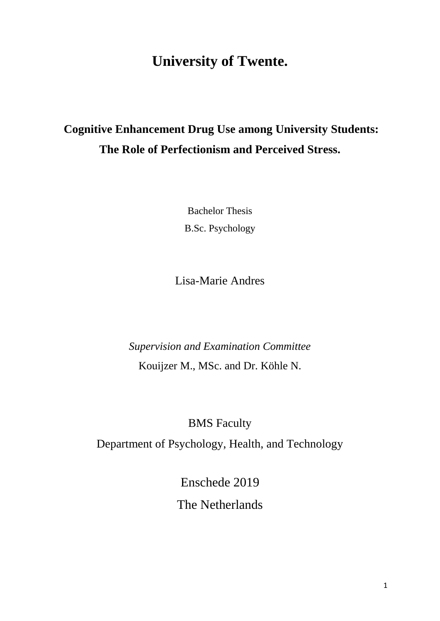# **University of Twente.**

# **Cognitive Enhancement Drug Use among University Students: The Role of Perfectionism and Perceived Stress.**

Bachelor Thesis B.Sc. Psychology

Lisa-Marie Andres

*Supervision and Examination Committee* Kouijzer M., MSc. and Dr. Köhle N.

BMS Faculty

Department of Psychology, Health, and Technology

Enschede 2019 The Netherlands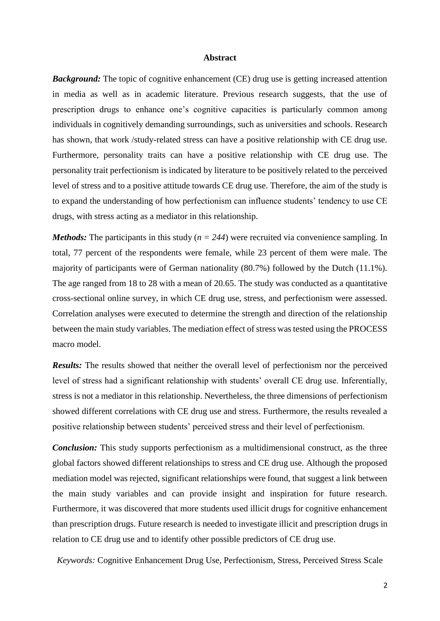#### **Abstract**

*Background:* The topic of cognitive enhancement (CE) drug use is getting increased attention in media as well as in academic literature. Previous research suggests, that the use of prescription drugs to enhance one's cognitive capacities is particularly common among individuals in cognitively demanding surroundings, such as universities and schools. Research has shown, that work /study-related stress can have a positive relationship with CE drug use. Furthermore, personality traits can have a positive relationship with CE drug use. The personality trait perfectionism is indicated by literature to be positively related to the perceived level of stress and to a positive attitude towards CE drug use. Therefore, the aim of the study is to expand the understanding of how perfectionism can influence students' tendency to use CE drugs, with stress acting as a mediator in this relationship.

*Methods:* The participants in this study ( $n = 244$ ) were recruited via convenience sampling. In total, 77 percent of the respondents were female, while 23 percent of them were male. The majority of participants were of German nationality (80.7%) followed by the Dutch (11.1%). The age ranged from 18 to 28 with a mean of 20.65. The study was conducted as a quantitative cross-sectional online survey, in which CE drug use, stress, and perfectionism were assessed. Correlation analyses were executed to determine the strength and direction of the relationship between the main study variables. The mediation effect of stress was tested using the PROCESS macro model.

**Results:** The results showed that neither the overall level of perfectionism nor the perceived level of stress had a significant relationship with students' overall CE drug use. Inferentially, stress is not a mediator in this relationship. Nevertheless, the three dimensions of perfectionism showed different correlations with CE drug use and stress. Furthermore, the results revealed a positive relationship between students' perceived stress and their level of perfectionism.

*Conclusion:* This study supports perfectionism as a multidimensional construct, as the three global factors showed different relationships to stress and CE drug use. Although the proposed mediation model was rejected, significant relationships were found, that suggest a link between the main study variables and can provide insight and inspiration for future research. Furthermore, it was discovered that more students used illicit drugs for cognitive enhancement than prescription drugs. Future research is needed to investigate illicit and prescription drugs in relation to CE drug use and to identify other possible predictors of CE drug use.

*Keywords:* Cognitive Enhancement Drug Use, Perfectionism, Stress, Perceived Stress Scale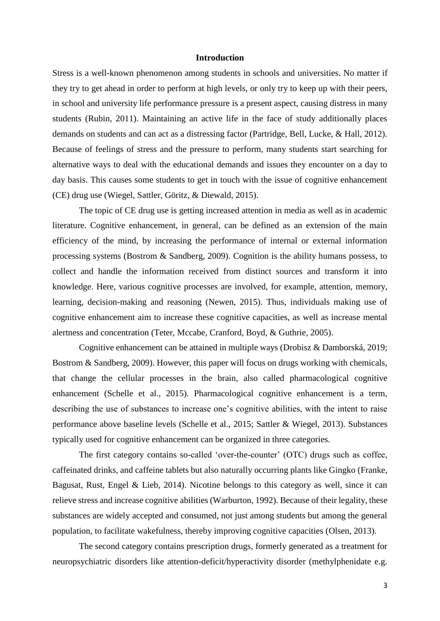#### **Introduction**

Stress is a well-known phenomenon among students in schools and universities. No matter if they try to get ahead in order to perform at high levels, or only try to keep up with their peers, in school and university life performance pressure is a present aspect, causing distress in many students (Rubin, 2011). Maintaining an active life in the face of study additionally places demands on students and can act as a distressing factor (Partridge, Bell, Lucke, & Hall, 2012). Because of feelings of stress and the pressure to perform, many students start searching for alternative ways to deal with the educational demands and issues they encounter on a day to day basis. This causes some students to get in touch with the issue of cognitive enhancement (CE) drug use (Wiegel, Sattler, Göritz, & Diewald, 2015).

The topic of CE drug use is getting increased attention in media as well as in academic literature. Cognitive enhancement, in general, can be defined as an extension of the main efficiency of the mind, by increasing the performance of internal or external information processing systems (Bostrom & Sandberg, 2009). Cognition is the ability humans possess, to collect and handle the information received from distinct sources and transform it into knowledge. Here, various cognitive processes are involved, for example, attention, memory, learning, decision-making and reasoning (Newen, 2015). Thus, individuals making use of cognitive enhancement aim to increase these cognitive capacities, as well as increase mental alertness and concentration (Teter, Mccabe, Cranford, Boyd, & Guthrie, 2005).

Cognitive enhancement can be attained in multiple ways (Drobisz & Damborská, 2019; Bostrom & Sandberg, 2009). However, this paper will focus on drugs working with chemicals, that change the cellular processes in the brain, also called pharmacological cognitive enhancement (Schelle et al., 2015). Pharmacological cognitive enhancement is a term, describing the use of substances to increase one's cognitive abilities, with the intent to raise performance above baseline levels (Schelle et al., 2015; Sattler & Wiegel, 2013). Substances typically used for cognitive enhancement can be organized in three categories.

The first category contains so-called 'over-the-counter' (OTC) drugs such as coffee, caffeinated drinks, and caffeine tablets but also naturally occurring plants like Gingko (Franke, Bagusat, Rust, Engel & Lieb, 2014). Nicotine belongs to this category as well, since it can relieve stress and increase cognitive abilities (Warburton, 1992). Because of their legality, these substances are widely accepted and consumed, not just among students but among the general population, to facilitate wakefulness, thereby improving cognitive capacities (Olsen, 2013).

The second category contains prescription drugs, formerly generated as a treatment for neuropsychiatric disorders like attention-deficit/hyperactivity disorder (methylphenidate e.g.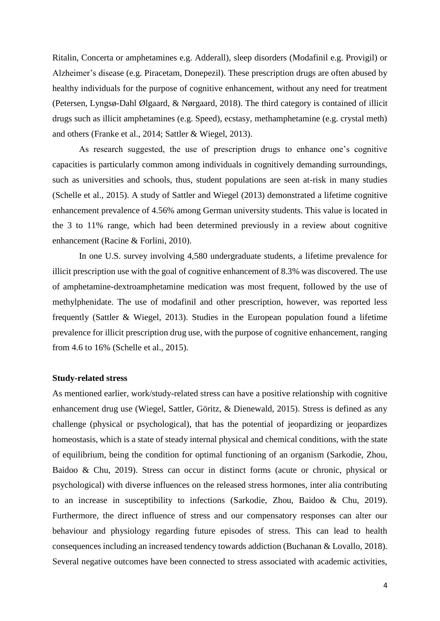Ritalin, Concerta or amphetamines e.g. Adderall), sleep disorders (Modafinil e.g. Provigil) or Alzheimer's disease (e.g. Piracetam, Donepezil). These prescription drugs are often abused by healthy individuals for the purpose of cognitive enhancement, without any need for treatment (Petersen, Lyngsø-Dahl Ølgaard, & Nørgaard, 2018). The third category is contained of illicit drugs such as illicit amphetamines (e.g. Speed), ecstasy, methamphetamine (e.g. crystal meth) and others (Franke et al., 2014; Sattler & Wiegel, 2013).

As research suggested, the use of prescription drugs to enhance one's cognitive capacities is particularly common among individuals in cognitively demanding surroundings, such as universities and schools, thus, student populations are seen at-risk in many studies (Schelle et al., 2015). A study of Sattler and Wiegel (2013) demonstrated a lifetime cognitive enhancement prevalence of 4.56% among German university students. This value is located in the 3 to 11% range, which had been determined previously in a review about cognitive enhancement (Racine & Forlini, 2010).

In one U.S. survey involving 4,580 undergraduate students, a lifetime prevalence for illicit prescription use with the goal of cognitive enhancement of 8.3% was discovered. The use of amphetamine-dextroamphetamine medication was most frequent, followed by the use of methylphenidate. The use of modafinil and other prescription, however, was reported less frequently (Sattler & Wiegel, 2013). Studies in the European population found a lifetime prevalence for illicit prescription drug use, with the purpose of cognitive enhancement, ranging from 4.6 to 16% (Schelle et al., 2015).

#### **Study-related stress**

As mentioned earlier, work/study-related stress can have a positive relationship with cognitive enhancement drug use (Wiegel, Sattler, Göritz, & Dienewald, 2015). Stress is defined as any challenge (physical or psychological), that has the potential of jeopardizing or jeopardizes homeostasis, which is a state of steady internal physical and chemical conditions, with the state of equilibrium, being the condition for optimal functioning of an organism (Sarkodie, Zhou, Baidoo & Chu, 2019). Stress can occur in distinct forms (acute or chronic, physical or psychological) with diverse influences on the released stress hormones, inter alia contributing to an increase in susceptibility to infections (Sarkodie, Zhou, Baidoo & Chu, 2019). Furthermore, the direct influence of stress and our compensatory responses can alter our behaviour and physiology regarding future episodes of stress. This can lead to health consequences including an increased tendency towards addiction (Buchanan & Lovallo, 2018). Several negative outcomes have been connected to stress associated with academic activities,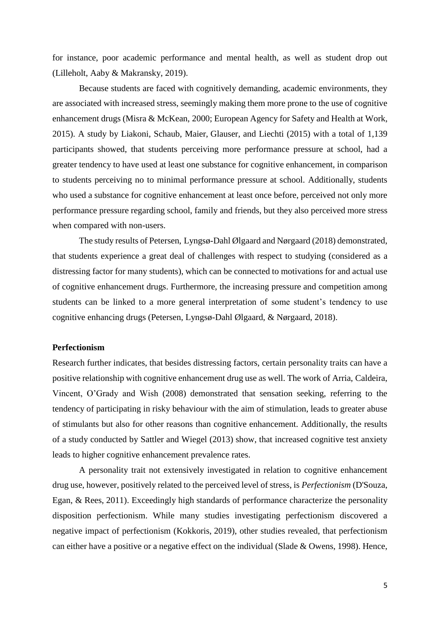for instance, poor academic performance and mental health, as well as student drop out (Lilleholt, Aaby & Makransky, 2019).

Because students are faced with cognitively demanding, academic environments, they are associated with increased stress, seemingly making them more prone to the use of cognitive enhancement drugs (Misra & McKean, 2000; European Agency for Safety and Health at Work, 2015). A study by Liakoni, Schaub, Maier, Glauser, and Liechti (2015) with a total of 1,139 participants showed, that students perceiving more performance pressure at school, had a greater tendency to have used at least one substance for cognitive enhancement, in comparison to students perceiving no to minimal performance pressure at school. Additionally, students who used a substance for cognitive enhancement at least once before, perceived not only more performance pressure regarding school, family and friends, but they also perceived more stress when compared with non-users.

The study results of Petersen, Lyngsø-Dahl Ølgaard and Nørgaard (2018) demonstrated, that students experience a great deal of challenges with respect to studying (considered as a distressing factor for many students), which can be connected to motivations for and actual use of cognitive enhancement drugs. Furthermore, the increasing pressure and competition among students can be linked to a more general interpretation of some student's tendency to use cognitive enhancing drugs (Petersen, Lyngsø-Dahl Ølgaard, & Nørgaard, 2018).

#### **Perfectionism**

Research further indicates, that besides distressing factors, certain personality traits can have a positive relationship with cognitive enhancement drug use as well. The work of Arria, Caldeira, Vincent, O'Grady and Wish (2008) demonstrated that sensation seeking, referring to the tendency of participating in risky behaviour with the aim of stimulation, leads to greater abuse of stimulants but also for other reasons than cognitive enhancement. Additionally, the results of a study conducted by Sattler and Wiegel (2013) show, that increased cognitive test anxiety leads to higher cognitive enhancement prevalence rates.

A personality trait not extensively investigated in relation to cognitive enhancement drug use, however, positively related to the perceived level of stress, is *Perfectionism* (D'Souza, Egan, & Rees, 2011). Exceedingly high standards of performance characterize the personality disposition perfectionism. While many studies investigating perfectionism discovered a negative impact of perfectionism (Kokkoris, 2019), other studies revealed, that perfectionism can either have a positive or a negative effect on the individual (Slade  $&$  Owens, 1998). Hence,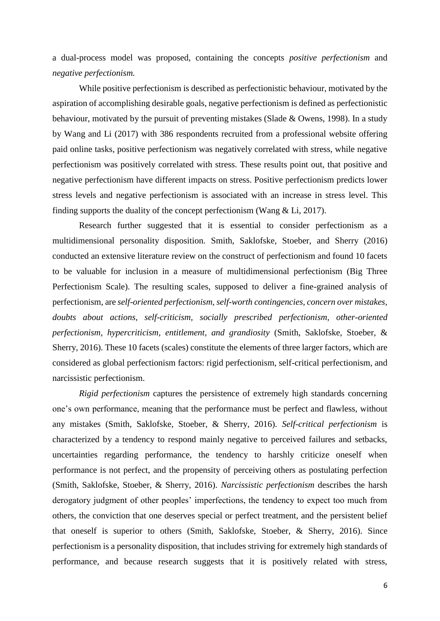a dual-process model was proposed, containing the concepts *positive perfectionism* and *negative perfectionism.*

While positive perfectionism is described as perfectionistic behaviour, motivated by the aspiration of accomplishing desirable goals, negative perfectionism is defined as perfectionistic behaviour, motivated by the pursuit of preventing mistakes (Slade & Owens, 1998). In a study by Wang and Li (2017) with 386 respondents recruited from a professional website offering paid online tasks, positive perfectionism was negatively correlated with stress, while negative perfectionism was positively correlated with stress. These results point out, that positive and negative perfectionism have different impacts on stress. Positive perfectionism predicts lower stress levels and negative perfectionism is associated with an increase in stress level. This finding supports the duality of the concept perfectionism (Wang & Li, 2017).

Research further suggested that it is essential to consider perfectionism as a multidimensional personality disposition. Smith, Saklofske, Stoeber, and Sherry (2016) conducted an extensive literature review on the construct of perfectionism and found 10 facets to be valuable for inclusion in a measure of multidimensional perfectionism (Big Three Perfectionism Scale). The resulting scales, supposed to deliver a fine-grained analysis of perfectionism, are *self-oriented perfectionism, self-worth contingencies, concern over mistakes, doubts about actions, self-criticism, socially prescribed perfectionism, other-oriented perfectionism, hypercriticism, entitlement, and grandiosity* (Smith, Saklofske, Stoeber, & Sherry, 2016). These 10 facets (scales) constitute the elements of three larger factors, which are considered as global perfectionism factors: rigid perfectionism, self-critical perfectionism, and narcissistic perfectionism.

*Rigid perfectionism* captures the persistence of extremely high standards concerning one's own performance, meaning that the performance must be perfect and flawless, without any mistakes (Smith, Saklofske, Stoeber, & Sherry, 2016). *Self-critical perfectionism* is characterized by a tendency to respond mainly negative to perceived failures and setbacks, uncertainties regarding performance, the tendency to harshly criticize oneself when performance is not perfect, and the propensity of perceiving others as postulating perfection (Smith, Saklofske, Stoeber, & Sherry, 2016). *Narcissistic perfectionism* describes the harsh derogatory judgment of other peoples' imperfections, the tendency to expect too much from others, the conviction that one deserves special or perfect treatment, and the persistent belief that oneself is superior to others (Smith, Saklofske, Stoeber, & Sherry, 2016). Since perfectionism is a personality disposition, that includes striving for extremely high standards of performance, and because research suggests that it is positively related with stress,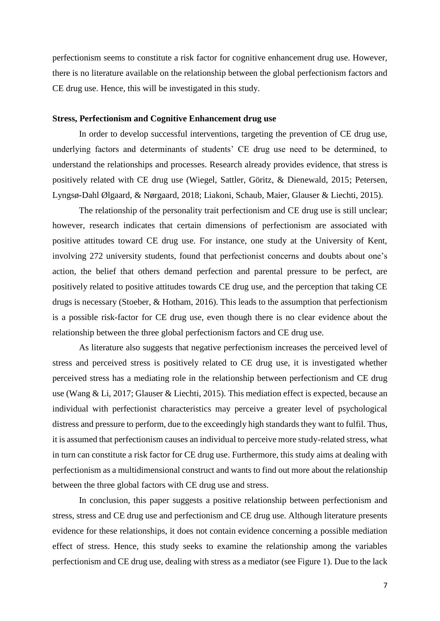perfectionism seems to constitute a risk factor for cognitive enhancement drug use. However, there is no literature available on the relationship between the global perfectionism factors and CE drug use. Hence, this will be investigated in this study.

#### **Stress, Perfectionism and Cognitive Enhancement drug use**

In order to develop successful interventions, targeting the prevention of CE drug use, underlying factors and determinants of students' CE drug use need to be determined, to understand the relationships and processes. Research already provides evidence, that stress is positively related with CE drug use (Wiegel, Sattler, Göritz, & Dienewald, 2015; Petersen, Lyngsø-Dahl Ølgaard, & Nørgaard, 2018; Liakoni, Schaub, Maier, Glauser & Liechti, 2015).

The relationship of the personality trait perfectionism and CE drug use is still unclear; however, research indicates that certain dimensions of perfectionism are associated with positive attitudes toward CE drug use. For instance, one study at the University of Kent, involving 272 university students, found that perfectionist concerns and doubts about one's action, the belief that others demand perfection and parental pressure to be perfect, are positively related to positive attitudes towards CE drug use, and the perception that taking CE drugs is necessary (Stoeber, & Hotham, 2016). This leads to the assumption that perfectionism is a possible risk-factor for CE drug use, even though there is no clear evidence about the relationship between the three global perfectionism factors and CE drug use.

As literature also suggests that negative perfectionism increases the perceived level of stress and perceived stress is positively related to CE drug use, it is investigated whether perceived stress has a mediating role in the relationship between perfectionism and CE drug use (Wang & Li, 2017; Glauser & Liechti, 2015). This mediation effect is expected, because an individual with perfectionist characteristics may perceive a greater level of psychological distress and pressure to perform, due to the exceedingly high standards they want to fulfil. Thus, it is assumed that perfectionism causes an individual to perceive more study-related stress, what in turn can constitute a risk factor for CE drug use. Furthermore, this study aims at dealing with perfectionism as a multidimensional construct and wants to find out more about the relationship between the three global factors with CE drug use and stress.

In conclusion, this paper suggests a positive relationship between perfectionism and stress, stress and CE drug use and perfectionism and CE drug use. Although literature presents evidence for these relationships, it does not contain evidence concerning a possible mediation effect of stress. Hence, this study seeks to examine the relationship among the variables perfectionism and CE drug use, dealing with stress as a mediator (see Figure 1). Due to the lack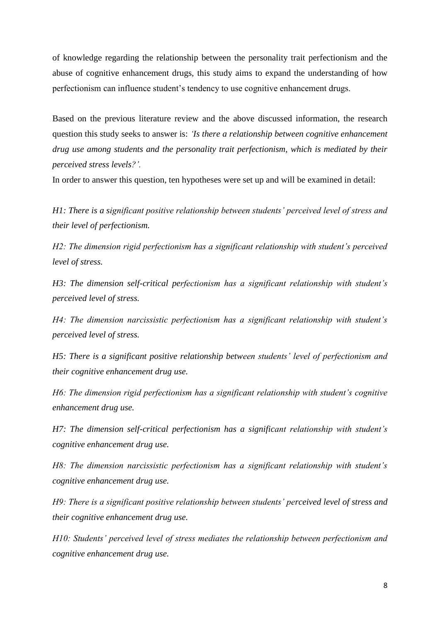of knowledge regarding the relationship between the personality trait perfectionism and the abuse of cognitive enhancement drugs, this study aims to expand the understanding of how perfectionism can influence student's tendency to use cognitive enhancement drugs.

Based on the previous literature review and the above discussed information, the research question this study seeks to answer is: *'Is there a relationship between cognitive enhancement drug use among students and the personality trait perfectionism, which is mediated by their perceived stress levels?'.*

In order to answer this question, ten hypotheses were set up and will be examined in detail:

*H1: There is a significant positive relationship between students' perceived level of stress and their level of perfectionism.*

*H2: The dimension rigid perfectionism has a significant relationship with student's perceived level of stress.*

*H3: The dimension self-critical perfectionism has a significant relationship with student's perceived level of stress.*

*H4: The dimension narcissistic perfectionism has a significant relationship with student's perceived level of stress.*

*H5: There is a significant positive relationship between students' level of perfectionism and their cognitive enhancement drug use.* 

*H6: The dimension rigid perfectionism has a significant relationship with student's cognitive enhancement drug use.*

*H7: The dimension self-critical perfectionism has a significant relationship with student's cognitive enhancement drug use.*

*H8: The dimension narcissistic perfectionism has a significant relationship with student's cognitive enhancement drug use.*

*H9: There is a significant positive relationship between students' perceived level of stress and their cognitive enhancement drug use.*

*H10: Students' perceived level of stress mediates the relationship between perfectionism and cognitive enhancement drug use.*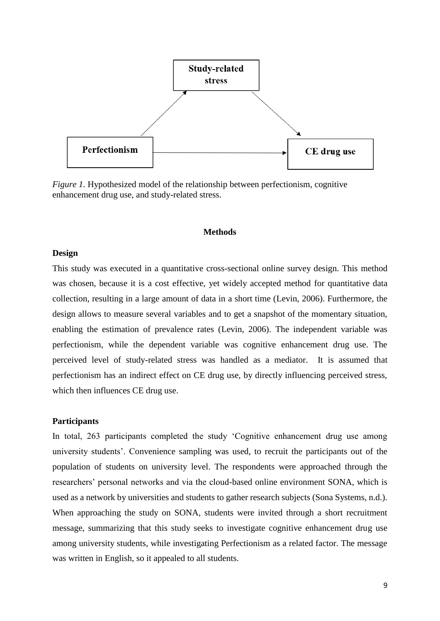

*Figure 1.* Hypothesized model of the relationship between perfectionism, cognitive enhancement drug use, and study-related stress.

#### **Methods**

#### **Design**

This study was executed in a quantitative cross-sectional online survey design. This method was chosen, because it is a cost effective, yet widely accepted method for quantitative data collection, resulting in a large amount of data in a short time (Levin, 2006). Furthermore, the design allows to measure several variables and to get a snapshot of the momentary situation, enabling the estimation of prevalence rates (Levin, 2006). The independent variable was perfectionism, while the dependent variable was cognitive enhancement drug use. The perceived level of study-related stress was handled as a mediator. It is assumed that perfectionism has an indirect effect on CE drug use, by directly influencing perceived stress, which then influences CE drug use.

#### **Participants**

In total, 263 participants completed the study 'Cognitive enhancement drug use among university students'. Convenience sampling was used, to recruit the participants out of the population of students on university level. The respondents were approached through the researchers' personal networks and via the cloud-based online environment SONA, which is used as a network by universities and students to gather research subjects (Sona Systems, n.d.). When approaching the study on SONA, students were invited through a short recruitment message, summarizing that this study seeks to investigate cognitive enhancement drug use among university students, while investigating Perfectionism as a related factor. The message was written in English, so it appealed to all students.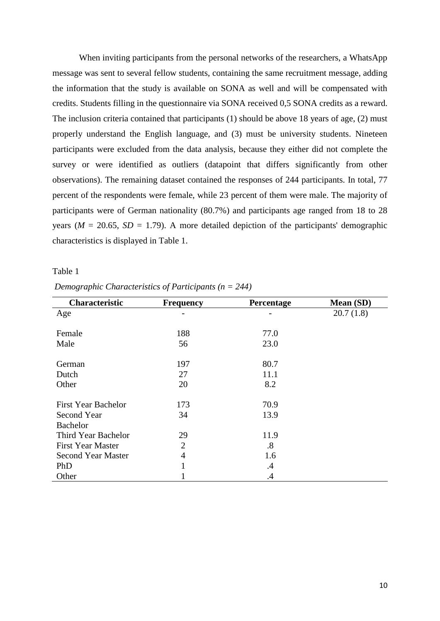When inviting participants from the personal networks of the researchers, a WhatsApp message was sent to several fellow students, containing the same recruitment message, adding the information that the study is available on SONA as well and will be compensated with credits. Students filling in the questionnaire via SONA received 0,5 SONA credits as a reward. The inclusion criteria contained that participants (1) should be above 18 years of age, (2) must properly understand the English language, and (3) must be university students. Nineteen participants were excluded from the data analysis, because they either did not complete the survey or were identified as outliers (datapoint that differs significantly from other observations). The remaining dataset contained the responses of 244 participants. In total, 77 percent of the respondents were female, while 23 percent of them were male. The majority of participants were of German nationality (80.7%) and participants age ranged from 18 to 28 years ( $M = 20.65$ ,  $SD = 1.79$ ). A more detailed depiction of the participants' demographic characteristics is displayed in Table 1.

#### Table 1

| Demographic Characteristics of Participants ( $n = 244$ ) |
|-----------------------------------------------------------|
|-----------------------------------------------------------|

| Characteristic             | <b>Frequency</b> | Percentage | Mean (SD) |
|----------------------------|------------------|------------|-----------|
| Age                        |                  |            | 20.7(1.8) |
|                            |                  |            |           |
| Female                     | 188              | 77.0       |           |
| Male                       | 56               | 23.0       |           |
|                            |                  |            |           |
| German                     | 197              | 80.7       |           |
| Dutch                      | 27               | 11.1       |           |
| Other                      | 20               | 8.2        |           |
|                            |                  |            |           |
| <b>First Year Bachelor</b> | 173              | 70.9       |           |
| Second Year                | 34               | 13.9       |           |
| <b>Bachelor</b>            |                  |            |           |
| Third Year Bachelor        | 29               | 11.9       |           |
| <b>First Year Master</b>   | $\overline{2}$   | .8         |           |
| <b>Second Year Master</b>  | 4                | 1.6        |           |
| PhD                        |                  | .4         |           |
| Other                      |                  | .4         |           |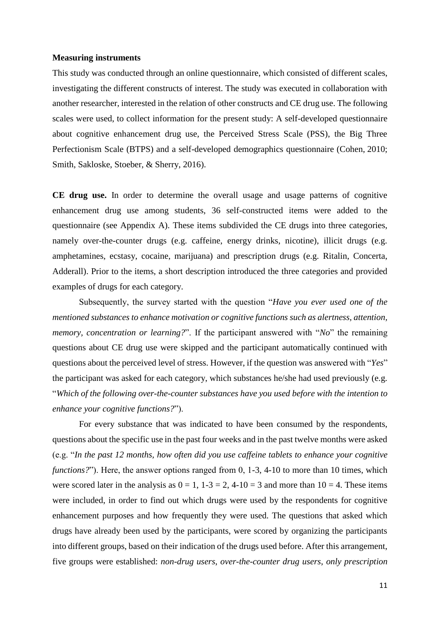#### **Measuring instruments**

This study was conducted through an online questionnaire, which consisted of different scales, investigating the different constructs of interest. The study was executed in collaboration with another researcher, interested in the relation of other constructs and CE drug use. The following scales were used, to collect information for the present study: A self-developed questionnaire about cognitive enhancement drug use, the Perceived Stress Scale (PSS), the Big Three Perfectionism Scale (BTPS) and a self-developed demographics questionnaire (Cohen, 2010; Smith, Sakloske, Stoeber, & Sherry, 2016).

**CE drug use.** In order to determine the overall usage and usage patterns of cognitive enhancement drug use among students, 36 self-constructed items were added to the questionnaire (see Appendix A). These items subdivided the CE drugs into three categories, namely over-the-counter drugs (e.g. caffeine, energy drinks, nicotine), illicit drugs (e.g. amphetamines, ecstasy, cocaine, marijuana) and prescription drugs (e.g. Ritalin, Concerta, Adderall). Prior to the items, a short description introduced the three categories and provided examples of drugs for each category.

Subsequently, the survey started with the question "*Have you ever used one of the mentioned substances to enhance motivation or cognitive functions such as alertness, attention, memory, concentration or learning?*". If the participant answered with "*No*" the remaining questions about CE drug use were skipped and the participant automatically continued with questions about the perceived level of stress. However, if the question was answered with "*Yes*" the participant was asked for each category, which substances he/she had used previously (e.g. "*Which of the following over-the-counter substances have you used before with the intention to enhance your cognitive functions?*").

For every substance that was indicated to have been consumed by the respondents, questions about the specific use in the past four weeks and in the past twelve months were asked (e.g. "*In the past 12 months, how often did you use caffeine tablets to enhance your cognitive functions?*"). Here, the answer options ranged from 0, 1-3, 4-10 to more than 10 times, which were scored later in the analysis as  $0 = 1$ ,  $1-3 = 2$ ,  $4-10 = 3$  and more than  $10 = 4$ . These items were included, in order to find out which drugs were used by the respondents for cognitive enhancement purposes and how frequently they were used. The questions that asked which drugs have already been used by the participants, were scored by organizing the participants into different groups, based on their indication of the drugs used before. After this arrangement, five groups were established: *non-drug users*, *over-the-counter drug users*, *only prescription*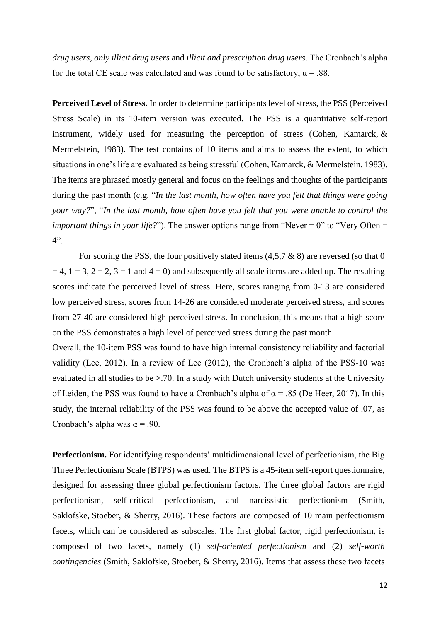*drug users*, *only illicit drug users* and *illicit and prescription drug users*. The Cronbach's alpha for the total CE scale was calculated and was found to be satisfactory,  $\alpha = .88$ .

**Perceived Level of Stress.** In order to determine participants level of stress, the PSS (Perceived Stress Scale) in its 10-item version was executed. The PSS is a quantitative self-report instrument, widely used for measuring the perception of stress (Cohen, Kamarck, & Mermelstein, 1983). The test contains of 10 items and aims to assess the extent, to which situations in one's life are evaluated as being stressful (Cohen, Kamarck, & Mermelstein, 1983). The items are phrased mostly general and focus on the feelings and thoughts of the participants during the past month (e.g. "*In the last month, how often have you felt that things were going your way?*", "*In the last month, how often have you felt that you were unable to control the important things in your life?*"). The answer options range from "Never = 0" to "Very Often = 4".

For scoring the PSS, the four positively stated items  $(4,5,7 \& 8)$  are reversed (so that 0)  $= 4$ ,  $1 = 3$ ,  $2 = 2$ ,  $3 = 1$  and  $4 = 0$ ) and subsequently all scale items are added up. The resulting scores indicate the perceived level of stress. Here, scores ranging from 0-13 are considered low perceived stress, scores from 14-26 are considered moderate perceived stress, and scores from 27-40 are considered high perceived stress. In conclusion, this means that a high score on the PSS demonstrates a high level of perceived stress during the past month.

Overall, the 10-item PSS was found to have high internal consistency reliability and factorial validity (Lee, 2012). In a review of Lee (2012), the Cronbach's alpha of the PSS-10 was evaluated in all studies to be >.70. In a study with Dutch university students at the University of Leiden, the PSS was found to have a Cronbach's alpha of  $\alpha$  = .85 (De Heer, 2017). In this study, the internal reliability of the PSS was found to be above the accepted value of .07, as Cronbach's alpha was  $\alpha = .90$ .

**Perfectionism.** For identifying respondents' multidimensional level of perfectionism, the Big Three Perfectionism Scale (BTPS) was used. The BTPS is a 45-item self-report questionnaire, designed for assessing three global perfectionism factors. The three global factors are rigid perfectionism, self-critical perfectionism, and narcissistic perfectionism (Smith, Saklofske, Stoeber, & Sherry, 2016). These factors are composed of 10 main perfectionism facets, which can be considered as subscales. The first global factor, rigid perfectionism, is composed of two facets, namely (1) *self-oriented perfectionism* and (2) *self-worth contingencies* (Smith, Saklofske, Stoeber, & Sherry, 2016). Items that assess these two facets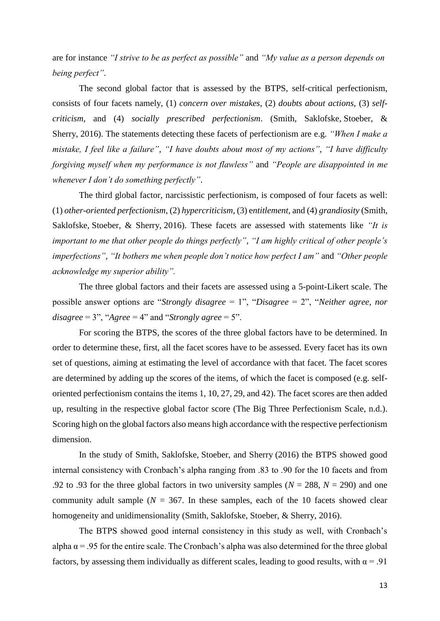are for instance *"I strive to be as perfect as possible"* and *"My value as a person depends on being perfect"*.

The second global factor that is assessed by the BTPS, self-critical perfectionism, consists of four facets namely, (1) *concern over mistakes*, (2) *doubts about actions*, (3) *selfcriticism*, and (4) *socially prescribed perfectionism*. (Smith, Saklofske, Stoeber, & Sherry, 2016). The statements detecting these facets of perfectionism are e.g. *"When I make a mistake, I feel like a failure"*, *"I have doubts about most of my actions"*, *"I have difficulty forgiving myself when my performance is not flawless"* and *"People are disappointed in me whenever I don't do something perfectly"*.

The third global factor, narcissistic perfectionism, is composed of four facets as well: (1) *other-oriented perfectionism*, (2) *hypercriticism*, (3) e*ntitlement*, and (4) *grandiosity* (Smith, Saklofske, Stoeber, & Sherry, 2016). These facets are assessed with statements like *"It is important to me that other people do things perfectly"*, *"I am highly critical of other people's imperfections"*, *"It bothers me when people don't notice how perfect I am"* and *"Other people acknowledge my superior ability".*

The three global factors and their facets are assessed using a 5-point-Likert scale. The possible answer options are "*Strongly disagree* = 1", "*Disagree* = 2", "*Neither agree, nor disagree* = 3", "*Agree* = 4" and "*Strongly agree* = 5".

For scoring the BTPS, the scores of the three global factors have to be determined. In order to determine these, first, all the facet scores have to be assessed. Every facet has its own set of questions, aiming at estimating the level of accordance with that facet. The facet scores are determined by adding up the scores of the items, of which the facet is composed (e.g. selforiented perfectionism contains the items 1, 10, 27, 29, and 42). The facet scores are then added up, resulting in the respective global factor score (The Big Three Perfectionism Scale, n.d.). Scoring high on the global factors also means high accordance with the respective perfectionism dimension.

In the study of Smith, Saklofske, Stoeber, and Sherry (2016) the BTPS showed good internal consistency with Cronbach's alpha ranging from .83 to .90 for the 10 facets and from .92 to .93 for the three global factors in two university samples ( $N = 288$ ,  $N = 290$ ) and one community adult sample ( $N = 367$ . In these samples, each of the 10 facets showed clear homogeneity and unidimensionality (Smith, Saklofske, Stoeber, & Sherry, 2016).

The BTPS showed good internal consistency in this study as well, with Cronbach's alpha  $\alpha$  = .95 for the entire scale. The Cronbach's alpha was also determined for the three global factors, by assessing them individually as different scales, leading to good results, with  $\alpha = .91$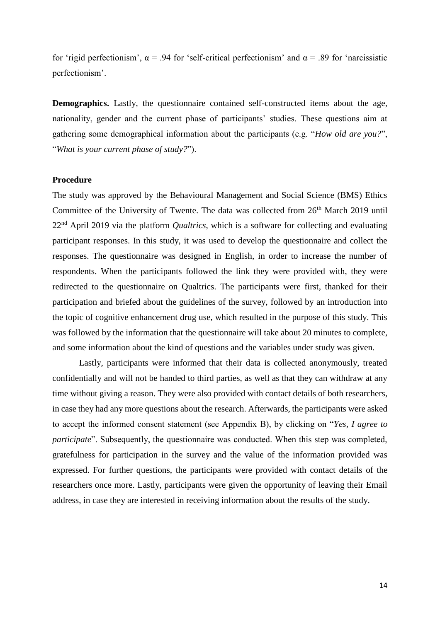for 'rigid perfectionism',  $\alpha$  = .94 for 'self-critical perfectionism' and  $\alpha$  = .89 for 'narcissistic perfectionism'.

**Demographics.** Lastly, the questionnaire contained self-constructed items about the age, nationality, gender and the current phase of participants' studies. These questions aim at gathering some demographical information about the participants (e.g. "*How old are you?*", "*What is your current phase of study?*").

#### **Procedure**

The study was approved by the Behavioural Management and Social Science (BMS) Ethics Committee of the University of Twente. The data was collected from 26<sup>th</sup> March 2019 until 22nd April 2019 via the platform *Qualtrics*, which is a software for collecting and evaluating participant responses. In this study, it was used to develop the questionnaire and collect the responses. The questionnaire was designed in English, in order to increase the number of respondents. When the participants followed the link they were provided with, they were redirected to the questionnaire on Qualtrics. The participants were first, thanked for their participation and briefed about the guidelines of the survey, followed by an introduction into the topic of cognitive enhancement drug use, which resulted in the purpose of this study. This was followed by the information that the questionnaire will take about 20 minutes to complete, and some information about the kind of questions and the variables under study was given.

Lastly, participants were informed that their data is collected anonymously, treated confidentially and will not be handed to third parties, as well as that they can withdraw at any time without giving a reason. They were also provided with contact details of both researchers, in case they had any more questions about the research. Afterwards, the participants were asked to accept the informed consent statement (see Appendix B), by clicking on "*Yes, I agree to participate*". Subsequently, the questionnaire was conducted. When this step was completed, gratefulness for participation in the survey and the value of the information provided was expressed. For further questions, the participants were provided with contact details of the researchers once more. Lastly, participants were given the opportunity of leaving their Email address, in case they are interested in receiving information about the results of the study.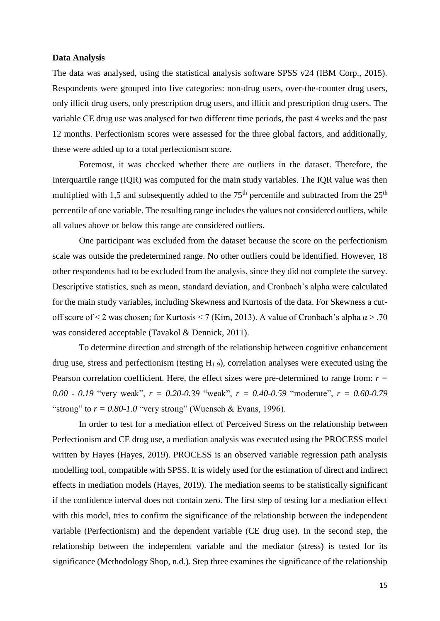#### **Data Analysis**

The data was analysed, using the statistical analysis software SPSS v24 (IBM Corp., 2015). Respondents were grouped into five categories: non-drug users, over-the-counter drug users, only illicit drug users, only prescription drug users, and illicit and prescription drug users. The variable CE drug use was analysed for two different time periods, the past 4 weeks and the past 12 months. Perfectionism scores were assessed for the three global factors, and additionally, these were added up to a total perfectionism score.

Foremost, it was checked whether there are outliers in the dataset. Therefore, the Interquartile range (IQR) was computed for the main study variables. The IQR value was then multiplied with 1,5 and subsequently added to the  $75<sup>th</sup>$  percentile and subtracted from the  $25<sup>th</sup>$ percentile of one variable. The resulting range includes the values not considered outliers, while all values above or below this range are considered outliers.

One participant was excluded from the dataset because the score on the perfectionism scale was outside the predetermined range. No other outliers could be identified. However, 18 other respondents had to be excluded from the analysis, since they did not complete the survey. Descriptive statistics, such as mean, standard deviation, and Cronbach's alpha were calculated for the main study variables, including Skewness and Kurtosis of the data. For Skewness a cutoff score of < 2 was chosen; for Kurtosis < 7 (Kim, 2013). A value of Cronbach's alpha  $\alpha$  > .70 was considered acceptable (Tavakol & Dennick, 2011).

To determine direction and strength of the relationship between cognitive enhancement drug use, stress and perfectionism (testing  $H_{1-9}$ ), correlation analyses were executed using the Pearson correlation coefficient. Here, the effect sizes were pre-determined to range from: *r = 0.00 - 0.19* "very weak", *r = 0.20-0.39* "weak", *r = 0.40-0.59* "moderate", *r = 0.60-0.79* "strong" to  $r = 0.80$ -1.0 "very strong" (Wuensch & Evans, 1996).

In order to test for a mediation effect of Perceived Stress on the relationship between Perfectionism and CE drug use, a mediation analysis was executed using the PROCESS model written by Hayes (Hayes, 2019). PROCESS is an observed variable regression path analysis modelling tool, compatible with SPSS. It is widely used for the estimation of direct and indirect effects in mediation models (Hayes, 2019). The mediation seems to be statistically significant if the confidence interval does not contain zero. The first step of testing for a mediation effect with this model, tries to confirm the significance of the relationship between the independent variable (Perfectionism) and the dependent variable (CE drug use). In the second step, the relationship between the independent variable and the mediator (stress) is tested for its significance (Methodology Shop, n.d.). Step three examines the significance of the relationship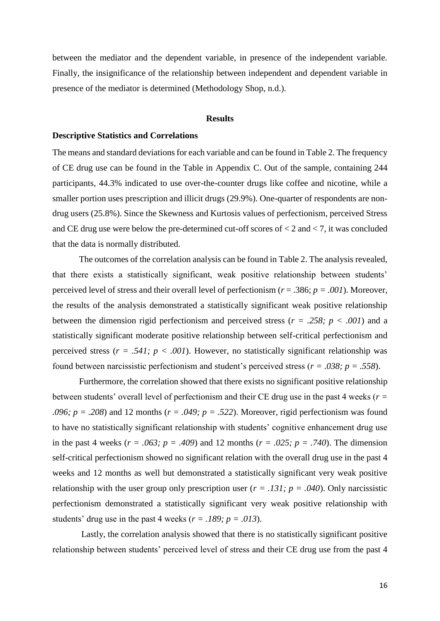between the mediator and the dependent variable, in presence of the independent variable. Finally, the insignificance of the relationship between independent and dependent variable in presence of the mediator is determined (Methodology Shop, n.d.).

#### **Results**

#### **Descriptive Statistics and Correlations**

The means and standard deviations for each variable and can be found in Table 2. The frequency of CE drug use can be found in the Table in Appendix C. Out of the sample, containing 244 participants, 44.3% indicated to use over-the-counter drugs like coffee and nicotine, while a smaller portion uses prescription and illicit drugs (29.9%). One-quarter of respondents are nondrug users (25.8%). Since the Skewness and Kurtosis values of perfectionism, perceived Stress and CE drug use were below the pre-determined cut-off scores of  $< 2$  and  $< 7$ , it was concluded that the data is normally distributed.

The outcomes of the correlation analysis can be found in Table 2. The analysis revealed, that there exists a statistically significant, weak positive relationship between students' perceived level of stress and their overall level of perfectionism ( $r = .386$ ;  $p = .001$ ). Moreover, the results of the analysis demonstrated a statistically significant weak positive relationship between the dimension rigid perfectionism and perceived stress (*r = .258; p < .001*) and a statistically significant moderate positive relationship between self-critical perfectionism and perceived stress  $(r = .541; p < .001)$ . However, no statistically significant relationship was found between narcissistic perfectionism and student's perceived stress (*r = .038; p = .558*).

Furthermore, the correlation showed that there exists no significant positive relationship between students' overall level of perfectionism and their CE drug use in the past 4 weeks (*r = .096; p = .208*) and 12 months ( $r = .049$ ;  $p = .522$ ). Moreover, rigid perfectionism was found to have no statistically significant relationship with students' cognitive enhancement drug use in the past 4 weeks ( $r = .063$ ;  $p = .409$ ) and 12 months ( $r = .025$ ;  $p = .740$ ). The dimension self-critical perfectionism showed no significant relation with the overall drug use in the past 4 weeks and 12 months as well but demonstrated a statistically significant very weak positive relationship with the user group only prescription user  $(r = .131; p = .040)$ . Only narcissistic perfectionism demonstrated a statistically significant very weak positive relationship with students' drug use in the past 4 weeks  $(r = .189; p = .013)$ .

Lastly, the correlation analysis showed that there is no statistically significant positive relationship between students' perceived level of stress and their CE drug use from the past 4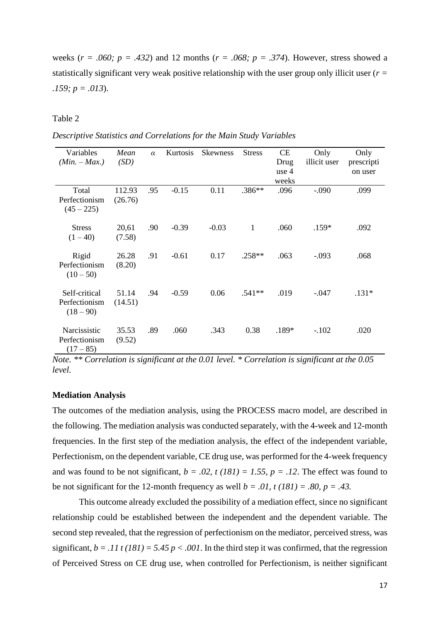weeks ( $r = .060$ ;  $p = .432$ ) and 12 months ( $r = .068$ ;  $p = .374$ ). However, stress showed a statistically significant very weak positive relationship with the user group only illicit user (*r = .159; p = .013*).

Table 2

| Descriptive Statistics and Correlations for the Main Study Variables |
|----------------------------------------------------------------------|
|----------------------------------------------------------------------|

| Variables                                     | Mean              | $\alpha$ | Kurtosis | <b>Skewness</b> | <b>Stress</b> | <b>CE</b>     | Only         | Only       |
|-----------------------------------------------|-------------------|----------|----------|-----------------|---------------|---------------|--------------|------------|
| $(Min. - Max.)$                               | (SD)              |          |          |                 |               | Drug          | illicit user | prescripti |
|                                               |                   |          |          |                 |               | use 4         |              | on user    |
| Total<br>Perfectionism<br>$(45 - 225)$        | 112.93<br>(26.76) | .95      | $-0.15$  | 0.11            | .386**        | weeks<br>.096 | $-.090$      | .099       |
| <b>Stress</b><br>$(1 - 40)$                   | 20,61<br>(7.58)   | .90      | $-0.39$  | $-0.03$         | $\mathbf{1}$  | .060          | $.159*$      | .092       |
| Rigid<br>Perfectionism<br>$(10-50)$           | 26.28<br>(8.20)   | .91      | $-0.61$  | 0.17            | $.258**$      | .063          | $-.093$      | .068       |
| Self-critical<br>Perfectionism<br>$(18 - 90)$ | 51.14<br>(14.51)  | .94      | $-0.59$  | 0.06            | $.541**$      | .019          | $-.047$      | $.131*$    |
| Narcissistic<br>Perfectionism<br>$(17-85)$    | 35.53<br>(9.52)   | .89      | .060     | .343            | 0.38          | .189*         | $-.102$      | .020       |

*Note. \*\* Correlation is significant at the 0.01 level. \* Correlation is significant at the 0.05 level.* 

#### **Mediation Analysis**

The outcomes of the mediation analysis, using the PROCESS macro model, are described in the following. The mediation analysis was conducted separately, with the 4-week and 12-month frequencies. In the first step of the mediation analysis, the effect of the independent variable, Perfectionism, on the dependent variable, CE drug use, was performed for the 4-week frequency and was found to be not significant,  $b = .02$ ,  $t (181) = 1.55$ ,  $p = .12$ . The effect was found to be not significant for the 12-month frequency as well  $b = .0I$ ,  $t (18I) = .80$ ,  $p = .43$ .

This outcome already excluded the possibility of a mediation effect, since no significant relationship could be established between the independent and the dependent variable. The second step revealed, that the regression of perfectionism on the mediator, perceived stress, was significant,  $b = 0.11 t (181) = 5.45 p < 0.001$ . In the third step it was confirmed, that the regression of Perceived Stress on CE drug use, when controlled for Perfectionism, is neither significant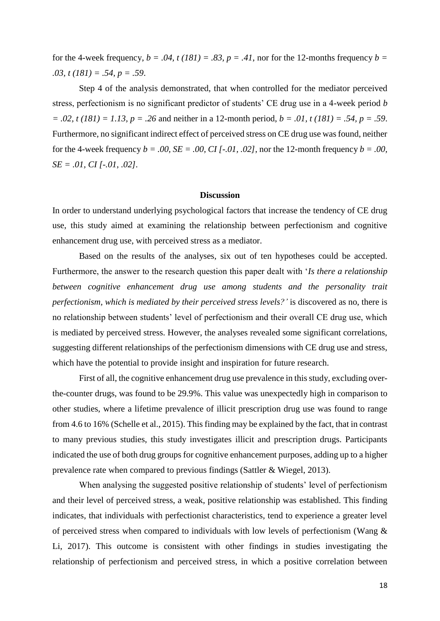for the 4-week frequency,  $b = .04$ ,  $t (181) = .83$ ,  $p = .41$ , nor for the 12-months frequency  $b =$ *.03, t (181) = .54, p = .59*.

Step 4 of the analysis demonstrated, that when controlled for the mediator perceived stress, perfectionism is no significant predictor of students' CE drug use in a 4-week period *b = .02, t (181) = 1.13, p = .26* and neither in a 12-month period, *b = .01, t (181) = .54, p = .59*. Furthermore, no significant indirect effect of perceived stress on CE drug use was found, neither for the 4-week frequency  $b = .00$ ,  $SE = .00$ ,  $CI$   $[-.01, .02]$ , nor the 12-month frequency  $b = .00$ , *SE = .01, CI [-.01, .02].* 

#### **Discussion**

In order to understand underlying psychological factors that increase the tendency of CE drug use, this study aimed at examining the relationship between perfectionism and cognitive enhancement drug use, with perceived stress as a mediator.

Based on the results of the analyses, six out of ten hypotheses could be accepted. Furthermore, the answer to the research question this paper dealt with '*Is there a relationship between cognitive enhancement drug use among students and the personality trait perfectionism, which is mediated by their perceived stress levels?'* is discovered as no, there is no relationship between students' level of perfectionism and their overall CE drug use, which is mediated by perceived stress. However, the analyses revealed some significant correlations, suggesting different relationships of the perfectionism dimensions with CE drug use and stress, which have the potential to provide insight and inspiration for future research.

First of all, the cognitive enhancement drug use prevalence in this study, excluding overthe-counter drugs, was found to be 29.9%. This value was unexpectedly high in comparison to other studies, where a lifetime prevalence of illicit prescription drug use was found to range from 4.6 to 16% (Schelle et al., 2015). This finding may be explained by the fact, that in contrast to many previous studies, this study investigates illicit and prescription drugs. Participants indicated the use of both drug groups for cognitive enhancement purposes, adding up to a higher prevalence rate when compared to previous findings (Sattler & Wiegel, 2013).

When analysing the suggested positive relationship of students' level of perfectionism and their level of perceived stress, a weak, positive relationship was established. This finding indicates, that individuals with perfectionist characteristics, tend to experience a greater level of perceived stress when compared to individuals with low levels of perfectionism (Wang & Li, 2017). This outcome is consistent with other findings in studies investigating the relationship of perfectionism and perceived stress, in which a positive correlation between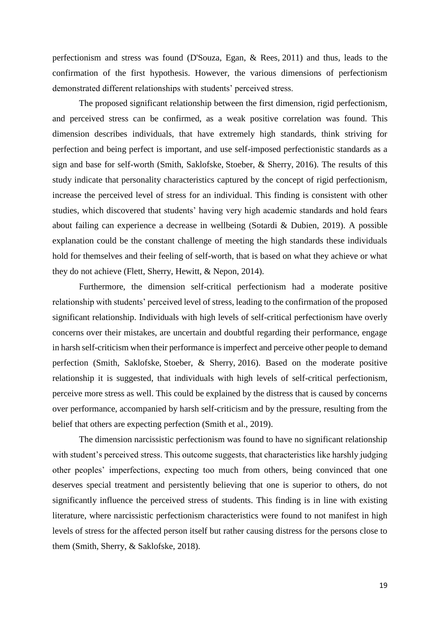perfectionism and stress was found (D'Souza, Egan, & Rees, 2011) and thus, leads to the confirmation of the first hypothesis. However, the various dimensions of perfectionism demonstrated different relationships with students' perceived stress.

The proposed significant relationship between the first dimension, rigid perfectionism, and perceived stress can be confirmed, as a weak positive correlation was found. This dimension describes individuals, that have extremely high standards, think striving for perfection and being perfect is important, and use self-imposed perfectionistic standards as a sign and base for self-worth (Smith, Saklofske, Stoeber, & Sherry, 2016). The results of this study indicate that personality characteristics captured by the concept of rigid perfectionism, increase the perceived level of stress for an individual. This finding is consistent with other studies, which discovered that students' having very high academic standards and hold fears about failing can experience a decrease in wellbeing (Sotardi & Dubien, 2019). A possible explanation could be the constant challenge of meeting the high standards these individuals hold for themselves and their feeling of self-worth, that is based on what they achieve or what they do not achieve (Flett, Sherry, Hewitt, & Nepon, 2014).

Furthermore, the dimension self-critical perfectionism had a moderate positive relationship with students' perceived level of stress, leading to the confirmation of the proposed significant relationship. Individuals with high levels of self-critical perfectionism have overly concerns over their mistakes, are uncertain and doubtful regarding their performance, engage in harsh self-criticism when their performance is imperfect and perceive other people to demand perfection (Smith, Saklofske, Stoeber, & Sherry, 2016). Based on the moderate positive relationship it is suggested, that individuals with high levels of self-critical perfectionism, perceive more stress as well. This could be explained by the distress that is caused by concerns over performance, accompanied by harsh self-criticism and by the pressure, resulting from the belief that others are expecting perfection (Smith et al., 2019).

The dimension narcissistic perfectionism was found to have no significant relationship with student's perceived stress. This outcome suggests, that characteristics like harshly judging other peoples' imperfections, expecting too much from others, being convinced that one deserves special treatment and persistently believing that one is superior to others, do not significantly influence the perceived stress of students. This finding is in line with existing literature, where narcissistic perfectionism characteristics were found to not manifest in high levels of stress for the affected person itself but rather causing distress for the persons close to them (Smith, Sherry, & Saklofske, 2018).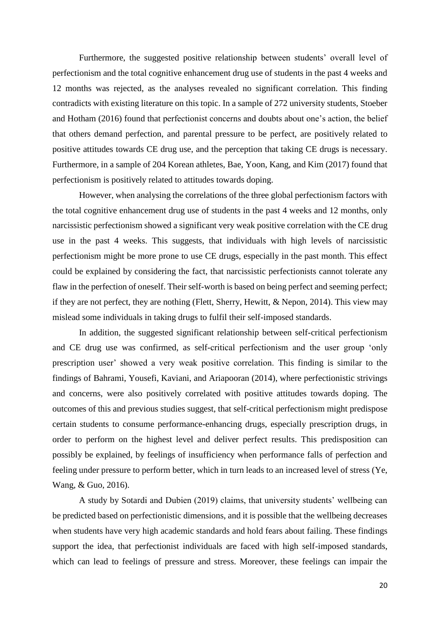Furthermore, the suggested positive relationship between students' overall level of perfectionism and the total cognitive enhancement drug use of students in the past 4 weeks and 12 months was rejected, as the analyses revealed no significant correlation. This finding contradicts with existing literature on this topic. In a sample of 272 university students, Stoeber and Hotham (2016) found that perfectionist concerns and doubts about one's action, the belief that others demand perfection, and parental pressure to be perfect, are positively related to positive attitudes towards CE drug use, and the perception that taking CE drugs is necessary. Furthermore, in a sample of 204 Korean athletes, Bae, Yoon, Kang, and Kim (2017) found that perfectionism is positively related to attitudes towards doping.

However, when analysing the correlations of the three global perfectionism factors with the total cognitive enhancement drug use of students in the past 4 weeks and 12 months, only narcissistic perfectionism showed a significant very weak positive correlation with the CE drug use in the past 4 weeks. This suggests, that individuals with high levels of narcissistic perfectionism might be more prone to use CE drugs, especially in the past month. This effect could be explained by considering the fact, that narcissistic perfectionists cannot tolerate any flaw in the perfection of oneself. Their self-worth is based on being perfect and seeming perfect; if they are not perfect, they are nothing (Flett, Sherry, Hewitt, & Nepon, 2014). This view may mislead some individuals in taking drugs to fulfil their self-imposed standards.

In addition, the suggested significant relationship between self-critical perfectionism and CE drug use was confirmed, as self-critical perfectionism and the user group 'only prescription user' showed a very weak positive correlation. This finding is similar to the findings of Bahrami, Yousefi, Kaviani, and Ariapooran (2014), where perfectionistic strivings and concerns, were also positively correlated with positive attitudes towards doping. The outcomes of this and previous studies suggest, that self-critical perfectionism might predispose certain students to consume performance-enhancing drugs, especially prescription drugs, in order to perform on the highest level and deliver perfect results. This predisposition can possibly be explained, by feelings of insufficiency when performance falls of perfection and feeling under pressure to perform better, which in turn leads to an increased level of stress (Ye, Wang, & Guo, 2016).

A study by Sotardi and Dubien (2019) claims, that university students' wellbeing can be predicted based on perfectionistic dimensions, and it is possible that the wellbeing decreases when students have very high academic standards and hold fears about failing. These findings support the idea, that perfectionist individuals are faced with high self-imposed standards, which can lead to feelings of pressure and stress. Moreover, these feelings can impair the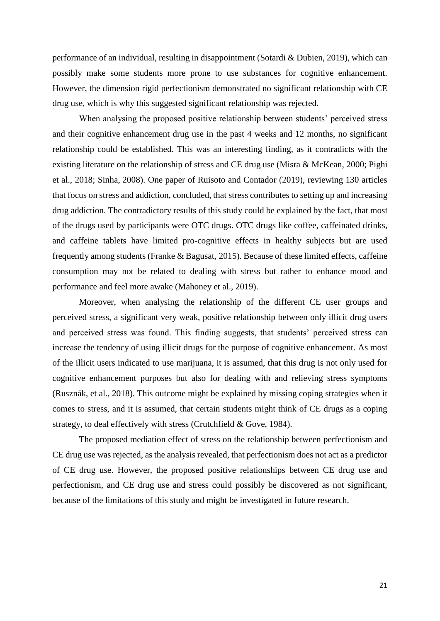performance of an individual, resulting in disappointment (Sotardi & Dubien, 2019), which can possibly make some students more prone to use substances for cognitive enhancement. However, the dimension rigid perfectionism demonstrated no significant relationship with CE drug use, which is why this suggested significant relationship was rejected.

When analysing the proposed positive relationship between students' perceived stress and their cognitive enhancement drug use in the past 4 weeks and 12 months, no significant relationship could be established. This was an interesting finding, as it contradicts with the existing literature on the relationship of stress and CE drug use (Misra & McKean, 2000; Pighi et al., 2018; Sinha, 2008). One paper of Ruisoto and Contador (2019), reviewing 130 articles that focus on stress and addiction, concluded, that stress contributes to setting up and increasing drug addiction. The contradictory results of this study could be explained by the fact, that most of the drugs used by participants were OTC drugs. OTC drugs like coffee, caffeinated drinks, and caffeine tablets have limited pro-cognitive effects in healthy subjects but are used frequently among students (Franke & Bagusat, 2015). Because of these limited effects, caffeine consumption may not be related to dealing with stress but rather to enhance mood and performance and feel more awake (Mahoney et al., 2019).

Moreover, when analysing the relationship of the different CE user groups and perceived stress, a significant very weak, positive relationship between only illicit drug users and perceived stress was found. This finding suggests, that students' perceived stress can increase the tendency of using illicit drugs for the purpose of cognitive enhancement. As most of the illicit users indicated to use marijuana, it is assumed, that this drug is not only used for cognitive enhancement purposes but also for dealing with and relieving stress symptoms (Rusznák, et al., 2018). This outcome might be explained by missing coping strategies when it comes to stress, and it is assumed, that certain students might think of CE drugs as a coping strategy, to deal effectively with stress (Crutchfield & Gove, 1984).

The proposed mediation effect of stress on the relationship between perfectionism and CE drug use was rejected, as the analysis revealed, that perfectionism does not act as a predictor of CE drug use. However, the proposed positive relationships between CE drug use and perfectionism, and CE drug use and stress could possibly be discovered as not significant, because of the limitations of this study and might be investigated in future research.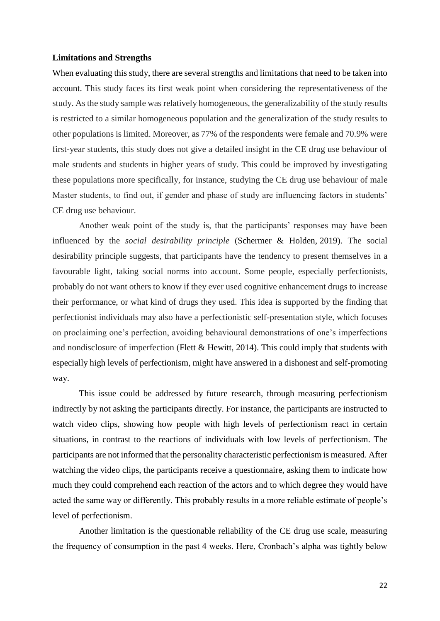#### **Limitations and Strengths**

When evaluating this study, there are several strengths and limitations that need to be taken into account. This study faces its first weak point when considering the representativeness of the study. As the study sample was relatively homogeneous, the generalizability of the study results is restricted to a similar homogeneous population and the generalization of the study results to other populations is limited. Moreover, as 77% of the respondents were female and 70.9% were first-year students, this study does not give a detailed insight in the CE drug use behaviour of male students and students in higher years of study. This could be improved by investigating these populations more specifically, for instance, studying the CE drug use behaviour of male Master students, to find out, if gender and phase of study are influencing factors in students' CE drug use behaviour.

Another weak point of the study is, that the participants' responses may have been influenced by the *social desirability principle* (Schermer & Holden, 2019). The social desirability principle suggests, that participants have the tendency to present themselves in a favourable light, taking social norms into account. Some people, especially perfectionists, probably do not want others to know if they ever used cognitive enhancement drugs to increase their performance, or what kind of drugs they used. This idea is supported by the finding that perfectionist individuals may also have a perfectionistic self-presentation style, which focuses on proclaiming one's perfection, avoiding behavioural demonstrations of one's imperfections and nondisclosure of imperfection (Flett & Hewitt, 2014). This could imply that students with especially high levels of perfectionism, might have answered in a dishonest and self-promoting way.

This issue could be addressed by future research, through measuring perfectionism indirectly by not asking the participants directly. For instance, the participants are instructed to watch video clips, showing how people with high levels of perfectionism react in certain situations, in contrast to the reactions of individuals with low levels of perfectionism. The participants are not informed that the personality characteristic perfectionism is measured. After watching the video clips, the participants receive a questionnaire, asking them to indicate how much they could comprehend each reaction of the actors and to which degree they would have acted the same way or differently. This probably results in a more reliable estimate of people's level of perfectionism.

Another limitation is the questionable reliability of the CE drug use scale, measuring the frequency of consumption in the past 4 weeks. Here, Cronbach's alpha was tightly below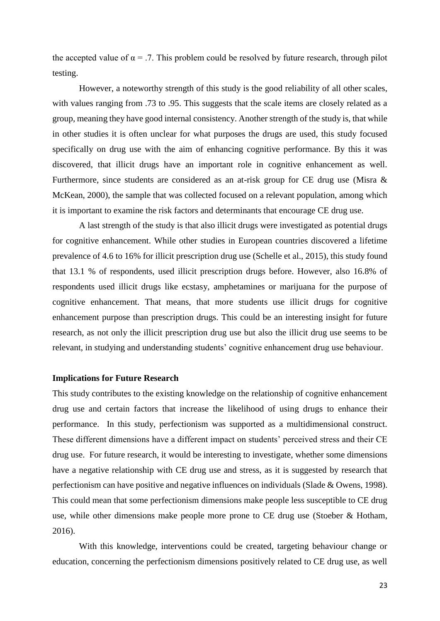the accepted value of  $\alpha = .7$ . This problem could be resolved by future research, through pilot testing.

However, a noteworthy strength of this study is the good reliability of all other scales, with values ranging from .73 to .95. This suggests that the scale items are closely related as a group, meaning they have good internal consistency. Another strength of the study is, that while in other studies it is often unclear for what purposes the drugs are used, this study focused specifically on drug use with the aim of enhancing cognitive performance. By this it was discovered, that illicit drugs have an important role in cognitive enhancement as well. Furthermore, since students are considered as an at-risk group for CE drug use (Misra & McKean, 2000), the sample that was collected focused on a relevant population, among which it is important to examine the risk factors and determinants that encourage CE drug use.

A last strength of the study is that also illicit drugs were investigated as potential drugs for cognitive enhancement. While other studies in European countries discovered a lifetime prevalence of 4.6 to 16% for illicit prescription drug use (Schelle et al., 2015), this study found that 13.1 % of respondents, used illicit prescription drugs before. However, also 16.8% of respondents used illicit drugs like ecstasy, amphetamines or marijuana for the purpose of cognitive enhancement. That means, that more students use illicit drugs for cognitive enhancement purpose than prescription drugs. This could be an interesting insight for future research, as not only the illicit prescription drug use but also the illicit drug use seems to be relevant, in studying and understanding students' cognitive enhancement drug use behaviour.

#### **Implications for Future Research**

This study contributes to the existing knowledge on the relationship of cognitive enhancement drug use and certain factors that increase the likelihood of using drugs to enhance their performance. In this study, perfectionism was supported as a multidimensional construct. These different dimensions have a different impact on students' perceived stress and their CE drug use. For future research, it would be interesting to investigate, whether some dimensions have a negative relationship with CE drug use and stress, as it is suggested by research that perfectionism can have positive and negative influences on individuals (Slade & Owens, 1998). This could mean that some perfectionism dimensions make people less susceptible to CE drug use, while other dimensions make people more prone to CE drug use (Stoeber & Hotham, 2016).

With this knowledge, interventions could be created, targeting behaviour change or education, concerning the perfectionism dimensions positively related to CE drug use, as well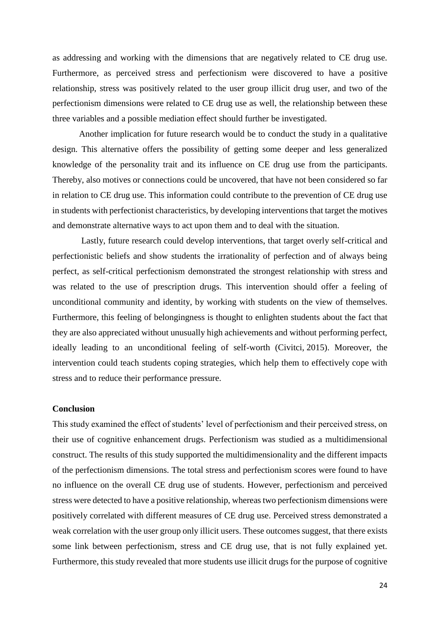as addressing and working with the dimensions that are negatively related to CE drug use. Furthermore, as perceived stress and perfectionism were discovered to have a positive relationship, stress was positively related to the user group illicit drug user, and two of the perfectionism dimensions were related to CE drug use as well, the relationship between these three variables and a possible mediation effect should further be investigated.

Another implication for future research would be to conduct the study in a qualitative design. This alternative offers the possibility of getting some deeper and less generalized knowledge of the personality trait and its influence on CE drug use from the participants. Thereby, also motives or connections could be uncovered, that have not been considered so far in relation to CE drug use. This information could contribute to the prevention of CE drug use in students with perfectionist characteristics, by developing interventions that target the motives and demonstrate alternative ways to act upon them and to deal with the situation.

Lastly, future research could develop interventions, that target overly self-critical and perfectionistic beliefs and show students the irrationality of perfection and of always being perfect, as self-critical perfectionism demonstrated the strongest relationship with stress and was related to the use of prescription drugs. This intervention should offer a feeling of unconditional community and identity, by working with students on the view of themselves. Furthermore, this feeling of belongingness is thought to enlighten students about the fact that they are also appreciated without unusually high achievements and without performing perfect, ideally leading to an unconditional feeling of self-worth (Civitci, 2015). Moreover, the intervention could teach students coping strategies, which help them to effectively cope with stress and to reduce their performance pressure.

#### **Conclusion**

This study examined the effect of students' level of perfectionism and their perceived stress, on their use of cognitive enhancement drugs. Perfectionism was studied as a multidimensional construct. The results of this study supported the multidimensionality and the different impacts of the perfectionism dimensions. The total stress and perfectionism scores were found to have no influence on the overall CE drug use of students. However, perfectionism and perceived stress were detected to have a positive relationship, whereas two perfectionism dimensions were positively correlated with different measures of CE drug use. Perceived stress demonstrated a weak correlation with the user group only illicit users. These outcomes suggest, that there exists some link between perfectionism, stress and CE drug use, that is not fully explained yet. Furthermore, this study revealed that more students use illicit drugs for the purpose of cognitive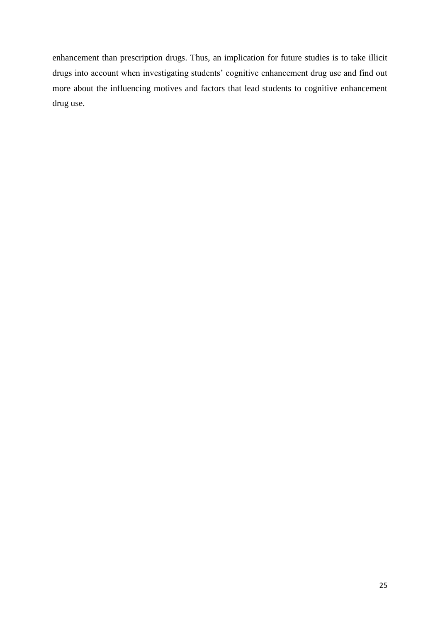enhancement than prescription drugs. Thus, an implication for future studies is to take illicit drugs into account when investigating students' cognitive enhancement drug use and find out more about the influencing motives and factors that lead students to cognitive enhancement drug use.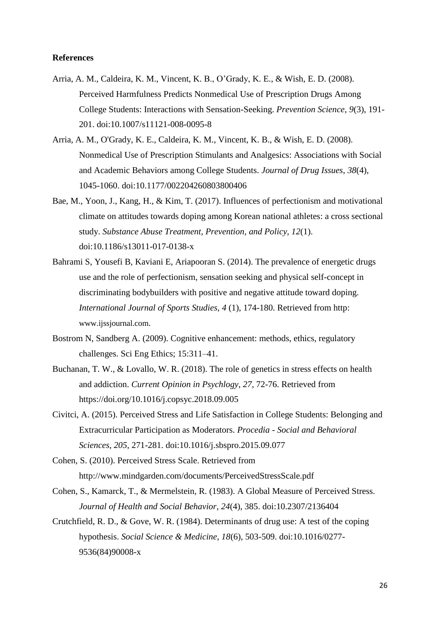#### **References**

- Arria, A. M., Caldeira, K. M., Vincent, K. B., O'Grady, K. E., & Wish, E. D. (2008). Perceived Harmfulness Predicts Nonmedical Use of Prescription Drugs Among College Students: Interactions with Sensation-Seeking. *Prevention Science*, *9*(3), 191- 201. doi:10.1007/s11121-008-0095-8
- Arria, A. M., O'Grady, K. E., Caldeira, K. M., Vincent, K. B., & Wish, E. D. (2008). Nonmedical Use of Prescription Stimulants and Analgesics: Associations with Social and Academic Behaviors among College Students. *Journal of Drug Issues*, *38*(4), 1045-1060. doi:10.1177/002204260803800406
- Bae, M., Yoon, J., Kang, H., & Kim, T. (2017). Influences of perfectionism and motivational climate on attitudes towards doping among Korean national athletes: a cross sectional study. *Substance Abuse Treatment, Prevention, and Policy*, *12*(1). doi:10.1186/s13011-017-0138-x
- Bahrami S, Yousefi B, Kaviani E, Ariapooran S. (2014). The prevalence of energetic drugs use and the role of perfectionism, sensation seeking and physical self-concept in discriminating bodybuilders with positive and negative attitude toward doping. *International Journal of Sports Studies, 4* (1), 174-180. Retrieved from http: www.ijssjournal.com.
- Bostrom N, Sandberg A. (2009). Cognitive enhancement: methods, ethics, regulatory challenges. Sci Eng Ethics; 15:311–41.
- Buchanan, T. W., & Lovallo, W. R. (2018). The role of genetics in stress effects on health and addiction. *Current Opinion in Psychlogy*, *27*, 72-76. Retrieved from https://doi.org/10.1016/j.copsyc.2018.09.005
- Civitci, A. (2015). Perceived Stress and Life Satisfaction in College Students: Belonging and Extracurricular Participation as Moderators. *Procedia - Social and Behavioral Sciences*, *205*, 271-281. doi:10.1016/j.sbspro.2015.09.077

Cohen, S. (2010). Perceived Stress Scale. Retrieved from http://www.mindgarden.com/documents/PerceivedStressScale.pdf

- Cohen, S., Kamarck, T., & Mermelstein, R. (1983). A Global Measure of Perceived Stress. *Journal of Health and Social Behavior*, *24*(4), 385. doi:10.2307/2136404
- Crutchfield, R. D., & Gove, W. R. (1984). Determinants of drug use: A test of the coping hypothesis. *Social Science & Medicine*, *18*(6), 503-509. doi:10.1016/0277- 9536(84)90008-x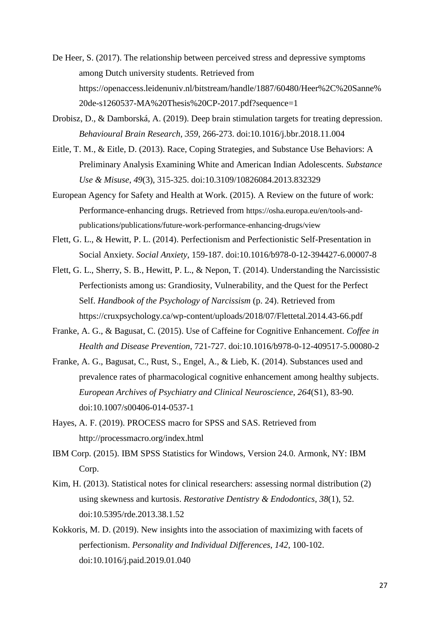- De Heer, S. (2017). The relationship between perceived stress and depressive symptoms among Dutch university students. Retrieved from https://openaccess.leidenuniv.nl/bitstream/handle/1887/60480/Heer%2C%20Sanne% 20de-s1260537-MA%20Thesis%20CP-2017.pdf?sequence=1
- Drobisz, D., & Damborská, A. (2019). Deep brain stimulation targets for treating depression. *Behavioural Brain Research*, *359*, 266-273. doi:10.1016/j.bbr.2018.11.004
- Eitle, T. M., & Eitle, D. (2013). Race, Coping Strategies, and Substance Use Behaviors: A Preliminary Analysis Examining White and American Indian Adolescents. *Substance Use & Misuse*, *49*(3), 315-325. doi:10.3109/10826084.2013.832329
- European Agency for Safety and Health at Work. (2015). A Review on the future of work: Performance-enhancing drugs. Retrieved from https://osha.europa.eu/en/tools-andpublications/publications/future-work-performance-enhancing-drugs/view
- Flett, G. L., & Hewitt, P. L. (2014). Perfectionism and Perfectionistic Self-Presentation in Social Anxiety. *Social Anxiety*, 159-187. doi:10.1016/b978-0-12-394427-6.00007-8
- Flett, G. L., Sherry, S. B., Hewitt, P. L., & Nepon, T. (2014). Understanding the Narcissistic Perfectionists among us: Grandiosity, Vulnerability, and the Quest for the Perfect Self. *Handbook of the Psychology of Narcissism* (p. 24). Retrieved from https://cruxpsychology.ca/wp-content/uploads/2018/07/Flettetal.2014.43-66.pdf
- Franke, A. G., & Bagusat, C. (2015). Use of Caffeine for Cognitive Enhancement. *Coffee in Health and Disease Prevention*, 721-727. doi:10.1016/b978-0-12-409517-5.00080-2
- Franke, A. G., Bagusat, C., Rust, S., Engel, A., & Lieb, K. (2014). Substances used and prevalence rates of pharmacological cognitive enhancement among healthy subjects. *European Archives of Psychiatry and Clinical Neuroscience*, *264*(S1), 83-90. doi:10.1007/s00406-014-0537-1
- Hayes, A. F. (2019). PROCESS macro for SPSS and SAS. Retrieved from http://processmacro.org/index.html
- IBM Corp. (2015). IBM SPSS Statistics for Windows, Version 24.0. Armonk, NY: IBM Corp.
- Kim, H. (2013). Statistical notes for clinical researchers: assessing normal distribution (2) using skewness and kurtosis. *Restorative Dentistry & Endodontics*, *38*(1), 52. doi:10.5395/rde.2013.38.1.52
- Kokkoris, M. D. (2019). New insights into the association of maximizing with facets of perfectionism. *Personality and Individual Differences*, *142*, 100-102. doi:10.1016/j.paid.2019.01.040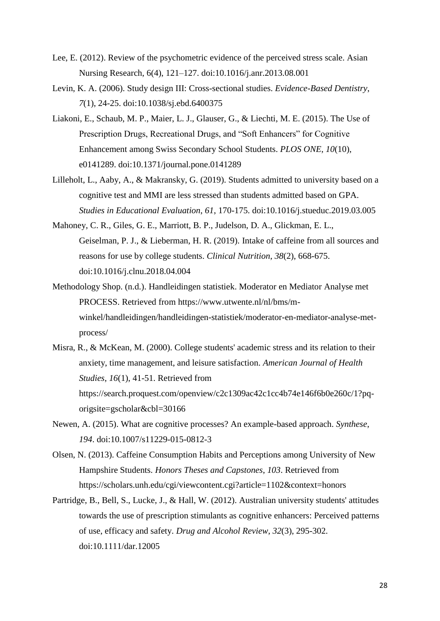- Lee, E. (2012). Review of the psychometric evidence of the perceived stress scale. Asian Nursing Research, 6(4), 121–127. doi:10.1016/j.anr.2013.08.001
- Levin, K. A. (2006). Study design III: Cross-sectional studies. *Evidence-Based Dentistry*, *7*(1), 24-25. doi:10.1038/sj.ebd.6400375
- Liakoni, E., Schaub, M. P., Maier, L. J., Glauser, G., & Liechti, M. E. (2015). The Use of Prescription Drugs, Recreational Drugs, and "Soft Enhancers" for Cognitive Enhancement among Swiss Secondary School Students. *PLOS ONE*, *10*(10), e0141289. doi:10.1371/journal.pone.0141289
- Lilleholt, L., Aaby, A., & Makransky, G. (2019). Students admitted to university based on a cognitive test and MMI are less stressed than students admitted based on GPA. *Studies in Educational Evaluation*, *61*, 170-175. doi:10.1016/j.stueduc.2019.03.005
- Mahoney, C. R., Giles, G. E., Marriott, B. P., Judelson, D. A., Glickman, E. L., Geiselman, P. J., & Lieberman, H. R. (2019). Intake of caffeine from all sources and reasons for use by college students. *Clinical Nutrition*, *38*(2), 668-675. doi:10.1016/j.clnu.2018.04.004
- Methodology Shop. (n.d.). Handleidingen statistiek. Moderator en Mediator Analyse met PROCESS. Retrieved from https://www.utwente.nl/nl/bms/mwinkel/handleidingen/handleidingen-statistiek/moderator-en-mediator-analyse-metprocess/
- Misra, R., & McKean, M. (2000). College students' academic stress and its relation to their anxiety, time management, and leisure satisfaction. *American Journal of Health Studies*, *16*(1), 41-51. Retrieved from https://search.proquest.com/openview/c2c1309ac42c1cc4b74e146f6b0e260c/1?pqorigsite=gscholar&cbl=30166
- Newen, A. (2015). What are cognitive processes? An example-based approach. *Synthese*, *194*. doi:10.1007/s11229-015-0812-3
- Olsen, N. (2013). Caffeine Consumption Habits and Perceptions among University of New Hampshire Students. *Honors Theses and Capstones*, *103*. Retrieved from https://scholars.unh.edu/cgi/viewcontent.cgi?article=1102&context=honors
- Partridge, B., Bell, S., Lucke, J., & Hall, W. (2012). Australian university students' attitudes towards the use of prescription stimulants as cognitive enhancers: Perceived patterns of use, efficacy and safety. *Drug and Alcohol Review*, *32*(3), 295-302. doi:10.1111/dar.12005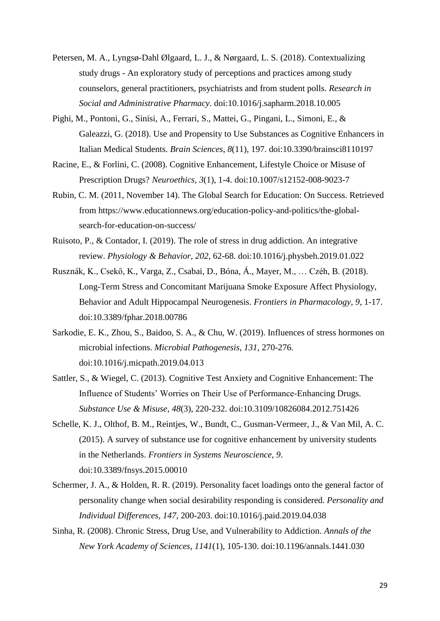- Petersen, M. A., Lyngsø-Dahl Ølgaard, L. J., & Nørgaard, L. S. (2018). Contextualizing study drugs - An exploratory study of perceptions and practices among study counselors, general practitioners, psychiatrists and from student polls. *Research in Social and Administrative Pharmacy*. doi:10.1016/j.sapharm.2018.10.005
- Pighi, M., Pontoni, G., Sinisi, A., Ferrari, S., Mattei, G., Pingani, L., Simoni, E., & Galeazzi, G. (2018). Use and Propensity to Use Substances as Cognitive Enhancers in Italian Medical Students. *Brain Sciences*, *8*(11), 197. doi:10.3390/brainsci8110197
- Racine, E., & Forlini, C. (2008). Cognitive Enhancement, Lifestyle Choice or Misuse of Prescription Drugs? *Neuroethics*, *3*(1), 1-4. doi:10.1007/s12152-008-9023-7
- Rubin, C. M. (2011, November 14). The Global Search for Education: On Success. Retrieved from https://www.educationnews.org/education-policy-and-politics/the-globalsearch-for-education-on-success/
- Ruisoto, P., & Contador, I. (2019). The role of stress in drug addiction. An integrative review. *Physiology & Behavior*, *202*, 62-68. doi:10.1016/j.physbeh.2019.01.022
- Rusznák, K., Csekő, K., Varga, Z., Csabai, D., Bóna, Á., Mayer, M., … Czéh, B. (2018). Long-Term Stress and Concomitant Marijuana Smoke Exposure Affect Physiology, Behavior and Adult Hippocampal Neurogenesis. *Frontiers in Pharmacology*, *9*, 1-17. doi:10.3389/fphar.2018.00786
- Sarkodie, E. K., Zhou, S., Baidoo, S. A., & Chu, W. (2019). Influences of stress hormones on microbial infections. *Microbial Pathogenesis*, *131*, 270-276. doi:10.1016/j.micpath.2019.04.013
- Sattler, S., & Wiegel, C. (2013). Cognitive Test Anxiety and Cognitive Enhancement: The Influence of Students' Worries on Their Use of Performance-Enhancing Drugs. *Substance Use & Misuse*, *48*(3), 220-232. doi:10.3109/10826084.2012.751426
- Schelle, K. J., Olthof, B. M., Reintjes, W., Bundt, C., Gusman-Vermeer, J., & Van Mil, A. C. (2015). A survey of substance use for cognitive enhancement by university students in the Netherlands. *Frontiers in Systems Neuroscience*, *9*. doi:10.3389/fnsys.2015.00010
- Schermer, J. A., & Holden, R. R. (2019). Personality facet loadings onto the general factor of personality change when social desirability responding is considered. *Personality and Individual Differences*, *147*, 200-203. doi:10.1016/j.paid.2019.04.038
- Sinha, R. (2008). Chronic Stress, Drug Use, and Vulnerability to Addiction. *Annals of the New York Academy of Sciences*, *1141*(1), 105-130. doi:10.1196/annals.1441.030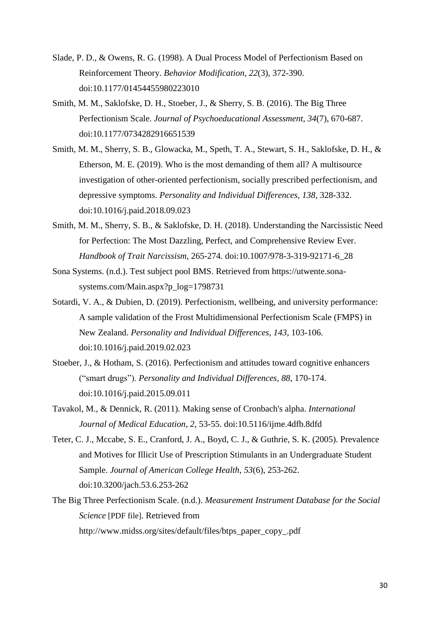- Slade, P. D., & Owens, R. G. (1998). A Dual Process Model of Perfectionism Based on Reinforcement Theory. *Behavior Modification*, *22*(3), 372-390. doi:10.1177/01454455980223010
- Smith, M. M., Saklofske, D. H., Stoeber, J., & Sherry, S. B. (2016). The Big Three Perfectionism Scale. *Journal of Psychoeducational Assessment*, *34*(7), 670-687. doi:10.1177/0734282916651539
- Smith, M. M., Sherry, S. B., Glowacka, M., Speth, T. A., Stewart, S. H., Saklofske, D. H., & Etherson, M. E. (2019). Who is the most demanding of them all? A multisource investigation of other-oriented perfectionism, socially prescribed perfectionism, and depressive symptoms. *Personality and Individual Differences*, *138*, 328-332. doi:10.1016/j.paid.2018.09.023
- Smith, M. M., Sherry, S. B., & Saklofske, D. H. (2018). Understanding the Narcissistic Need for Perfection: The Most Dazzling, Perfect, and Comprehensive Review Ever. *Handbook of Trait Narcissism*, 265-274. doi:10.1007/978-3-319-92171-6\_28
- Sona Systems. (n.d.). Test subject pool BMS. Retrieved from https://utwente.sonasystems.com/Main.aspx?p\_log=1798731
- Sotardi, V. A., & Dubien, D. (2019). Perfectionism, wellbeing, and university performance: A sample validation of the Frost Multidimensional Perfectionism Scale (FMPS) in New Zealand. *Personality and Individual Differences*, *143*, 103-106. doi:10.1016/j.paid.2019.02.023
- Stoeber, J., & Hotham, S. (2016). Perfectionism and attitudes toward cognitive enhancers ("smart drugs"). *Personality and Individual Differences*, *88*, 170-174. doi:10.1016/j.paid.2015.09.011
- Tavakol, M., & Dennick, R. (2011). Making sense of Cronbach's alpha. *International Journal of Medical Education*, *2*, 53-55. doi:10.5116/ijme.4dfb.8dfd
- Teter, C. J., Mccabe, S. E., Cranford, J. A., Boyd, C. J., & Guthrie, S. K. (2005). Prevalence and Motives for Illicit Use of Prescription Stimulants in an Undergraduate Student Sample. *Journal of American College Health, 53*(6), 253-262. doi:10.3200/jach.53.6.253-262
- The Big Three Perfectionism Scale. (n.d.). *Measurement Instrument Database for the Social Science* [PDF file]. Retrieved from http://www.midss.org/sites/default/files/btps\_paper\_copy\_.pdf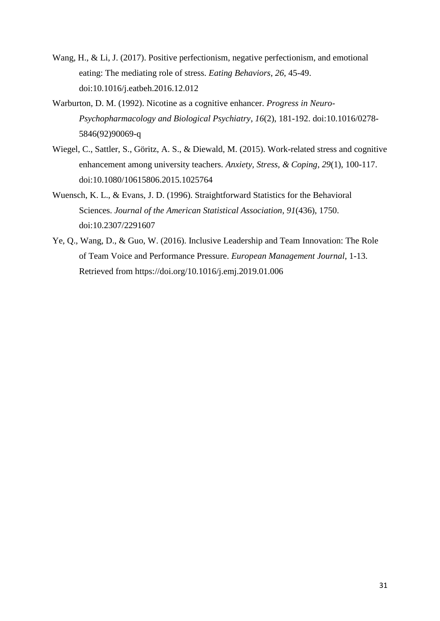- Wang, H., & Li, J. (2017). Positive perfectionism, negative perfectionism, and emotional eating: The mediating role of stress. *Eating Behaviors*, *26*, 45-49. doi:10.1016/j.eatbeh.2016.12.012
- Warburton, D. M. (1992). Nicotine as a cognitive enhancer. *Progress in Neuro-Psychopharmacology and Biological Psychiatry*, *16*(2), 181-192. doi:10.1016/0278- 5846(92)90069-q
- Wiegel, C., Sattler, S., Göritz, A. S., & Diewald, M. (2015). Work-related stress and cognitive enhancement among university teachers. *Anxiety, Stress, & Coping*, *29*(1), 100-117. doi:10.1080/10615806.2015.1025764
- Wuensch, K. L., & Evans, J. D. (1996). Straightforward Statistics for the Behavioral Sciences. *Journal of the American Statistical Association*, *91*(436), 1750. doi:10.2307/2291607
- Ye, Q., Wang, D., & Guo, W. (2016). Inclusive Leadership and Team Innovation: The Role of Team Voice and Performance Pressure. *European Management Journal*, 1-13. Retrieved from https://doi.org/10.1016/j.emj.2019.01.006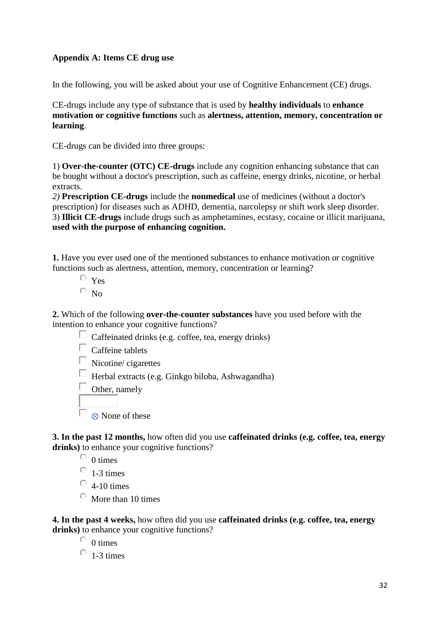### **Appendix A: Items CE drug use**

In the following, you will be asked about your use of Cognitive Enhancement (CE) drugs.

CE-drugs include any type of substance that is used by **healthy individuals** to **enhance motivation or cognitive functions** such as **alertness, attention, memory, concentration or learning**.

CE-drugs can be divided into three groups:

1) **Over-the-counter (OTC) CE-drugs** include any cognition enhancing substance that can be bought without a doctor's prescription, such as caffeine, energy drinks, nicotine, or herbal extracts.

*2)* **Prescription CE-drugs** include the **nonmedical** use of medicines (without a doctor's prescription) for diseases such as ADHD, dementia, narcolepsy or shift work sleep disorder. 3) **Illicit CE-drugs** include drugs such as amphetamines, ecstasy, cocaine or illicit marijuana, **used with the purpose of enhancing cognition.**

**1.** Have you ever used one of the mentioned substances to enhance motivation or cognitive functions such as alertness, attention, memory, concentration or learning?

- $\circ$  Yes
- $\overline{\circ}$  No

**2.** Which of the following **over-the-counter substances** have you used before with the intention to enhance your cognitive functions?

- $\Box$  Caffeinated drinks (e.g. coffee, tea, energy drinks)
- $\Box$  Caffeine tablets
- $\Box$  Nicotine/ cigarettes

 $\Box$  Herbal extracts (e.g. Ginkgo biloba, Ashwagandha)

 $\Box$  Other, namely

 $\Box$  ⊗ None of these

**3. In the past 12 months,** how often did you use **caffeinated drinks (e.g. coffee, tea, energy**  drinks) to enhance your cognitive functions?

 $\circ$  0 times

 $\circ$  1-3 times

 $\circ$  4-10 times

 $\circ$  More than 10 times

**4. In the past 4 weeks,** how often did you use **caffeinated drinks (e.g. coffee, tea, energy**  drinks) to enhance your cognitive functions?

 $\circ$  0 times  $\circ$  1-3 times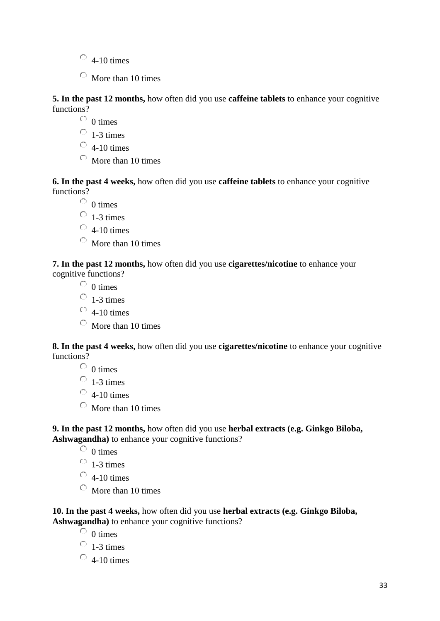- $\circ$  4-10 times
- $\circ$  More than 10 times

**5. In the past 12 months,** how often did you use **caffeine tablets** to enhance your cognitive functions?

- $\circ$  0 times
- $\circ$  1-3 times
- $\circ$  4-10 times
- $\circ$  More than 10 times

**6. In the past 4 weeks,** how often did you use **caffeine tablets** to enhance your cognitive functions?

- $\circ$  0 times
- $\circ$  1-3 times
- $\circ$  4-10 times
- $\circ$  More than 10 times

**7. In the past 12 months,** how often did you use **cigarettes/nicotine** to enhance your cognitive functions?

- $\circ$  0 times
- $\circ$  1-3 times
- $\circ$  4-10 times
- $\circ$  More than 10 times

**8. In the past 4 weeks,** how often did you use **cigarettes/nicotine** to enhance your cognitive functions?

 $\circ$  0 times

 $\circ$  1-3 times

- $\circ$  4-10 times
- $\circ$  More than 10 times

**9. In the past 12 months,** how often did you use **herbal extracts (e.g. Ginkgo Biloba, Ashwagandha)** to enhance your cognitive functions?

 $\overline{O}$  0 times

 $\circ$  1-3 times

- $\circ$  4-10 times
- $\circ$  More than 10 times

**10. In the past 4 weeks,** how often did you use **herbal extracts (e.g. Ginkgo Biloba,**  Ashwagandha) to enhance your cognitive functions?

- $\circ$  0 times
- $\circ$  1-3 times
- $\degree$  4-10 times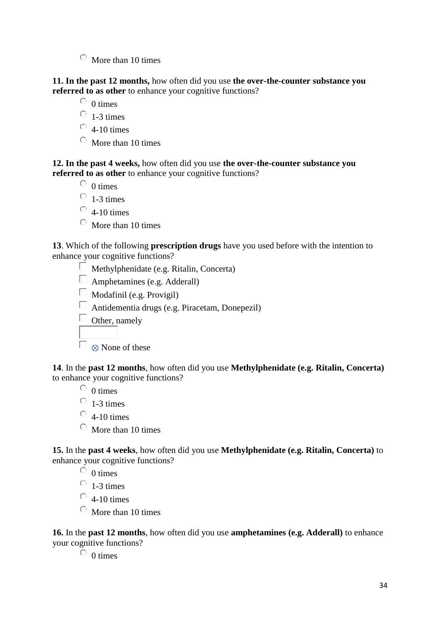$\circ$  More than 10 times

**11. In the past 12 months,** how often did you use **the over-the-counter substance you referred to as other** to enhance your cognitive functions?

 $\circ$  0 times

 $\circ$  1-3 times

 $\degree$  4-10 times

 $\circ$  More than 10 times

**12. In the past 4 weeks,** how often did you use **the over-the-counter substance you referred to as other** to enhance your cognitive functions?

 $\overline{O}$  0 times

 $\circ$  1-3 times

 $\circ$  4-10 times

 $\circ$  More than 10 times

**13**. Which of the following **prescription drugs** have you used before with the intention to enhance your cognitive functions?

 $\Box$  Methylphenidate (e.g. Ritalin, Concerta)

 $\Box$  Amphetamines (e.g. Adderall)

 $\Box$  Modafinil (e.g. Provigil)

 $\Box$  Antidementia drugs (e.g. Piracetam, Donepezil)

 $\Box$  Other, namely

 $\Box$  ⊗ None of these

**14**. In the **past 12 months**, how often did you use **Methylphenidate (e.g. Ritalin, Concerta)**  to enhance your cognitive functions?

 $\circ$  0 times

 $\circ$  1-3 times

 $\circ$  4-10 times

 $\circ$  More than 10 times

**15.** In the **past 4 weeks**, how often did you use **Methylphenidate (e.g. Ritalin, Concerta)** to enhance your cognitive functions?

 $\overline{O}$  0 times

 $\circ$  1-3 times

 $\circ$  4-10 times

 $\circ$  More than 10 times

**16.** In the **past 12 months**, how often did you use **amphetamines (e.g. Adderall)** to enhance your cognitive functions?

 $\circ$  0 times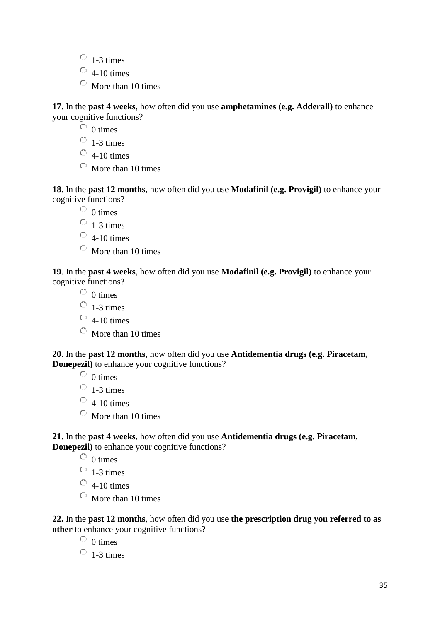- $\circ$  1-3 times
- $\circ$  4-10 times
- $\circ$  More than 10 times

**17**. In the **past 4 weeks**, how often did you use **amphetamines (e.g. Adderall)** to enhance your cognitive functions?

 $\overline{O}$  0 times

 $\circ$  1-3 times

 $\circ$  4-10 times

 $\circ$  More than 10 times

**18**. In the **past 12 months**, how often did you use **Modafinil (e.g. Provigil)** to enhance your cognitive functions?

 $\circ$  0 times

 $\circ$  1-3 times

- $\circ$  4-10 times
- $\circ$  More than 10 times

**19**. In the **past 4 weeks**, how often did you use **Modafinil (e.g. Provigil)** to enhance your cognitive functions?

 $\circ$  0 times

- $\circ$  1-3 times
- $\circ$  4-10 times
- $\circ$  More than 10 times

**20**. In the **past 12 months**, how often did you use **Antidementia drugs (e.g. Piracetam, Donepezil**) to enhance your cognitive functions?

 $\circ$  0 times

 $\circ$  1-3 times

- $\circ$  4-10 times
- $\circ$  More than 10 times

**21**. In the **past 4 weeks**, how often did you use **Antidementia drugs (e.g. Piracetam, Donepezil**) to enhance your cognitive functions?

 $\circ$  0 times

 $\circ$  1-3 times

 $\circ$  4-10 times

 $\circ$  More than 10 times

**22.** In the **past 12 months**, how often did you use **the prescription drug you referred to as other** to enhance your cognitive functions?

 $\circ$  0 times

 $\circ$  1-3 times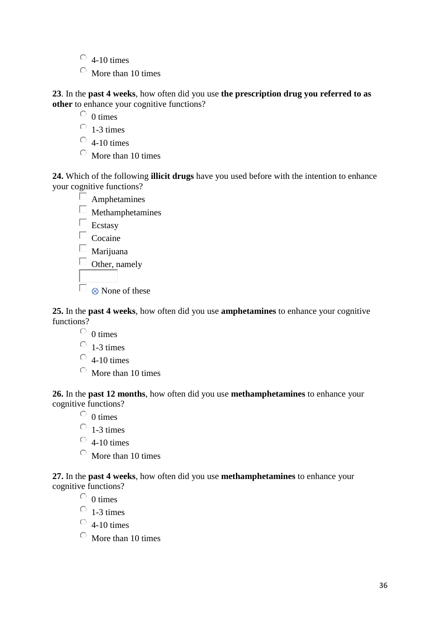- $\circ$  4-10 times
- $\circ$  More than 10 times

**23**. In the **past 4 weeks**, how often did you use **the prescription drug you referred to as other** to enhance your cognitive functions?

 $\circ$  0 times

- $\circ$  1-3 times
- $\circ$  4-10 times
- $\circ$  More than 10 times

**24.** Which of the following **illicit drugs** have you used before with the intention to enhance your cognitive functions?

 $\Box$  Amphetamines  $\Box$  Methamphetamines  $\Box$  Ecstasy  $\Box$  Cocaine  $\square$  Marijuana  $\Box$ Other, namely  $\Box$  ⊗ None of these

**25.** In the **past 4 weeks**, how often did you use **amphetamines** to enhance your cognitive functions?

- $\circ$  0 times
- $\circ$  1-3 times
- $\circ$  4-10 times
- $\circ$  More than 10 times

**26.** In the **past 12 months**, how often did you use **methamphetamines** to enhance your cognitive functions?

 $\circ$  0 times

- $\circ$  1-3 times
- $\circ$  4-10 times
- $\circ$  More than 10 times

**27.** In the **past 4 weeks**, how often did you use **methamphetamines** to enhance your cognitive functions?

- $\circ$  0 times
- $\circ$  1-3 times
- $\circ$  4-10 times
- $\circ$  More than 10 times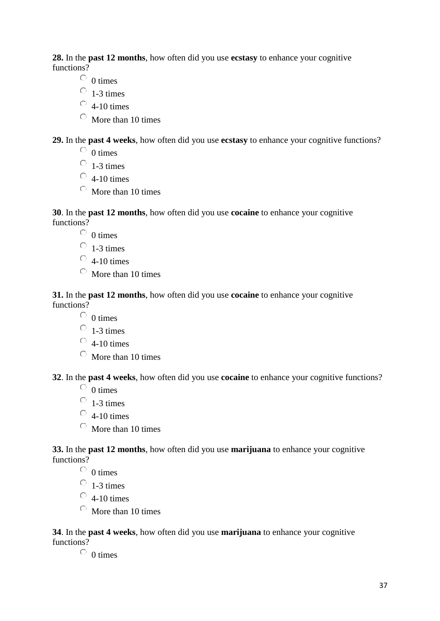**28.** In the **past 12 months**, how often did you use **ecstasy** to enhance your cognitive functions?

- $\circ$  0 times
- $\circ$  1-3 times
- $\circ$  4-10 times
- $\circ$  More than 10 times

**29.** In the **past 4 weeks**, how often did you use **ecstasy** to enhance your cognitive functions?

- $\circ$  0 times
- $\circ$  1-3 times
- $\circ$  4-10 times
- $\circ$  More than 10 times

**30**. In the **past 12 months**, how often did you use **cocaine** to enhance your cognitive functions?

- $\circ$  0 times
- $\circ$  1-3 times
- $\circ$  4-10 times
- $\circ$  More than 10 times

**31.** In the **past 12 months**, how often did you use **cocaine** to enhance your cognitive functions?

- $\circ$  0 times
- $\circ$  1-3 times
- $\circ$  4-10 times
- $\circ$  More than 10 times

**32**. In the **past 4 weeks**, how often did you use **cocaine** to enhance your cognitive functions?

- $\circ$  0 times
- $\circ$  1-3 times
- $\circ$  4-10 times
- $\circ$  More than 10 times

**33.** In the **past 12 months**, how often did you use **marijuana** to enhance your cognitive functions?

 $\circ$  0 times

- $\circ$  1-3 times
- $\circ$  4-10 times
- $\circ$  More than 10 times

**34**. In the **past 4 weeks**, how often did you use **marijuana** to enhance your cognitive functions?

 $\circ$  0 times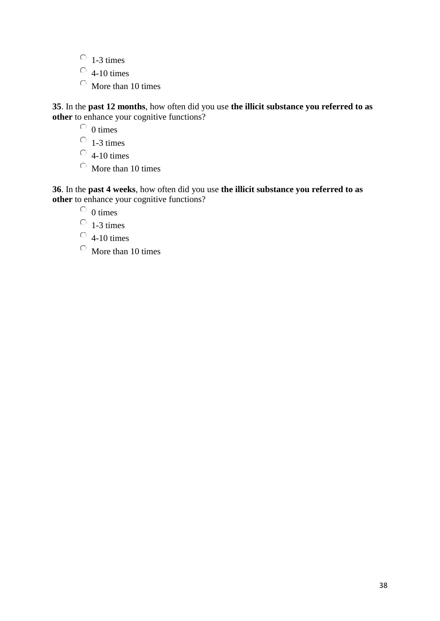- $\circ$  1-3 times
- $\circ$  4-10 times
- $\circ$  More than 10 times

**35**. In the **past 12 months**, how often did you use **the illicit substance you referred to as other** to enhance your cognitive functions?

 $\circ$  0 times

 $\circ$  1-3 times

 $\circ$  4-10 times

 $\circ$  More than 10 times

**36**. In the **past 4 weeks**, how often did you use **the illicit substance you referred to as other** to enhance your cognitive functions?

 $\circ$  0 times

 $\overline{0}$  1-3 times

 $\circ$  4-10 times

 $\circ$  More than 10 times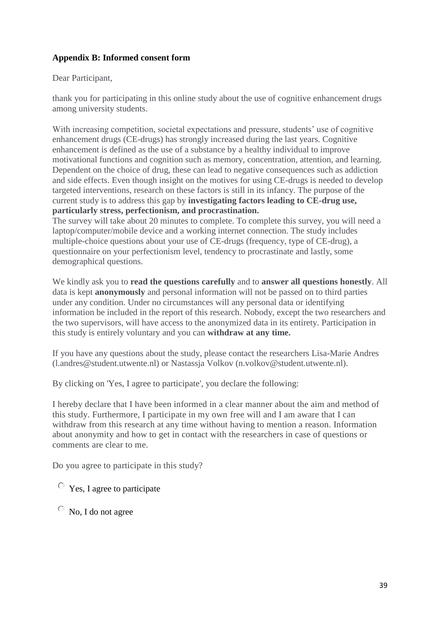### **Appendix B: Informed consent form**

Dear Participant,

thank you for participating in this online study about the use of cognitive enhancement drugs among university students.

With increasing competition, societal expectations and pressure, students' use of cognitive enhancement drugs (CE-drugs) has strongly increased during the last years. Cognitive enhancement is defined as the use of a substance by a healthy individual to improve motivational functions and cognition such as memory, concentration, attention, and learning. Dependent on the choice of drug, these can lead to negative consequences such as addiction and side effects. Even though insight on the motives for using CE-drugs is needed to develop targeted interventions, research on these factors is still in its infancy. The purpose of the current study is to address this gap by **investigating factors leading to CE-drug use, particularly stress, perfectionism, and procrastination.**

The survey will take about 20 minutes to complete. To complete this survey, you will need a laptop/computer/mobile device and a working internet connection. The study includes multiple-choice questions about your use of CE-drugs (frequency, type of CE-drug), a questionnaire on your perfectionism level, tendency to procrastinate and lastly, some demographical questions.

We kindly ask you to **read the questions carefully** and to **answer all questions honestly**. All data is kept **anonymously** and personal information will not be passed on to third parties under any condition. Under no circumstances will any personal data or identifying information be included in the report of this research. Nobody, except the two researchers and the two supervisors, will have access to the anonymized data in its entirety. Participation in this study is entirely voluntary and you can **withdraw at any time.**

If you have any questions about the study, please contact the researchers Lisa-Marie Andres (l.andres@student.utwente.nl) or Nastassja Volkov (n.volkov@student.utwente.nl).

By clicking on 'Yes, I agree to participate', you declare the following:

I hereby declare that I have been informed in a clear manner about the aim and method of this study. Furthermore, I participate in my own free will and I am aware that I can withdraw from this research at any time without having to mention a reason. Information about anonymity and how to get in contact with the researchers in case of questions or comments are clear to me.

Do you agree to participate in this study?

Yes, I agree to participate

No, I do not agree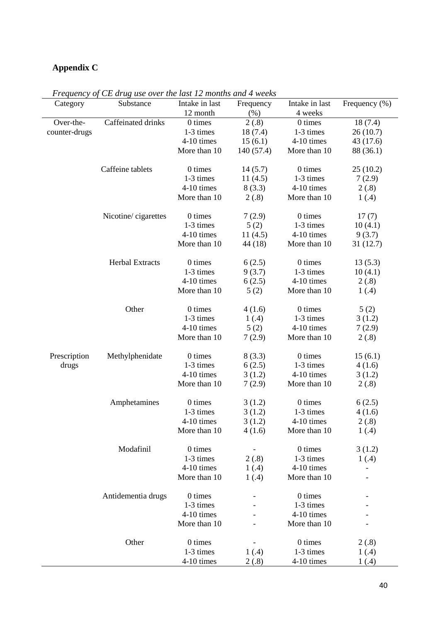## **Appendix C**

| Category      | Substance              | Intake in last | Frequency                | Intake in last          | Frequency $(\% )$ |
|---------------|------------------------|----------------|--------------------------|-------------------------|-------------------|
|               |                        | 12 month       | (% )                     | 4 weeks                 |                   |
| Over-the-     | Caffeinated drinks     | 0 times        | 2(.8)                    | 0 times                 | 18(7.4)           |
| counter-drugs |                        | 1-3 times      | 18(7.4)                  | 1-3 times               | 26(10.7)          |
|               |                        | 4-10 times     | 15(6.1)                  | 4-10 times              | 43 (17.6)         |
|               |                        | More than 10   | 140 (57.4)               | More than 10            | 88 (36.1)         |
|               | Caffeine tablets       | 0 times        | 14(5.7)                  | 0 times                 | 25(10.2)          |
|               |                        | 1-3 times      | 11(4.5)                  | 1-3 times               | 7(2.9)            |
|               |                        | 4-10 times     | 8(3.3)                   | 4-10 times              | 2(.8)             |
|               |                        | More than 10   | 2(.8)                    | More than 10            | 1(4)              |
|               |                        |                |                          |                         |                   |
|               | Nicotine/cigarettes    | 0 times        | 7(2.9)                   | 0 times                 | 17(7)             |
|               |                        | 1-3 times      | 5(2)                     | 1-3 times               | 10(4.1)           |
|               |                        | 4-10 times     | 11(4.5)                  | 4-10 times              | 9(3.7)            |
|               |                        | More than 10   | 44 (18)                  | More than 10            | 31 (12.7)         |
|               |                        |                |                          |                         |                   |
|               | <b>Herbal Extracts</b> | 0 times        | 6(2.5)                   | 0 times                 | 13(5.3)           |
|               |                        | 1-3 times      | 9(3.7)                   | 1-3 times<br>4-10 times | 10(4.1)           |
|               |                        | 4-10 times     | 6(2.5)                   |                         | 2(.8)             |
|               |                        | More than 10   | 5(2)                     | More than 10            | 1(4)              |
|               | Other                  | 0 times        | 4(1.6)                   | 0 times                 | 5(2)              |
|               |                        | 1-3 times      | 1(4)                     | 1-3 times               | 3(1.2)            |
|               |                        | 4-10 times     | 5(2)                     | 4-10 times              | 7(2.9)            |
|               |                        | More than 10   | 7(2.9)                   | More than 10            | 2(.8)             |
| Prescription  | Methylphenidate        | 0 times        | 8(3.3)                   | 0 times                 | 15(6.1)           |
| drugs         |                        | 1-3 times      | 6(2.5)                   | 1-3 times               | 4(1.6)            |
|               |                        | 4-10 times     | 3(1.2)                   | 4-10 times              | 3(1.2)            |
|               |                        | More than 10   | 7(2.9)                   | More than 10            | 2(.8)             |
|               |                        |                |                          |                         |                   |
|               | Amphetamines           | 0 times        | 3(1.2)                   | 0 times                 | 6(2.5)            |
|               |                        | 1-3 times      | 3(1.2)                   | 1-3 times               | 4 (1.6)           |
|               |                        | 4-10 times     | 3(1.2)                   | 4-10 times              | 2(.8)             |
|               |                        | More than 10   | 4(1.6)                   | More than 10            | 1(0.4)            |
|               | Modafinil              | $0$ times      | $\overline{\phantom{0}}$ | 0 times                 | 3(1.2)            |
|               |                        | 1-3 times      | 2(.8)                    | 1-3 times               | 1(4)              |
|               |                        | 4-10 times     | 1(4)                     | 4-10 times              |                   |
|               |                        | More than 10   | 1(4)                     | More than 10            |                   |
|               |                        |                |                          |                         |                   |
|               | Antidementia drugs     | 0 times        |                          | 0 times                 |                   |
|               |                        | 1-3 times      |                          | 1-3 times               |                   |
|               |                        | 4-10 times     |                          | 4-10 times              |                   |
|               |                        | More than 10   |                          | More than 10            |                   |
|               | Other                  | 0 times        |                          | 0 times                 | 2(.8)             |
|               |                        | 1-3 times      | 1(4)                     | 1-3 times               | 1(4)              |
|               |                        | 4-10 times     | 2(.8)                    | 4-10 times              | 1(0.4)            |

*Frequency of CE drug use over the last 12 months and 4 weeks*